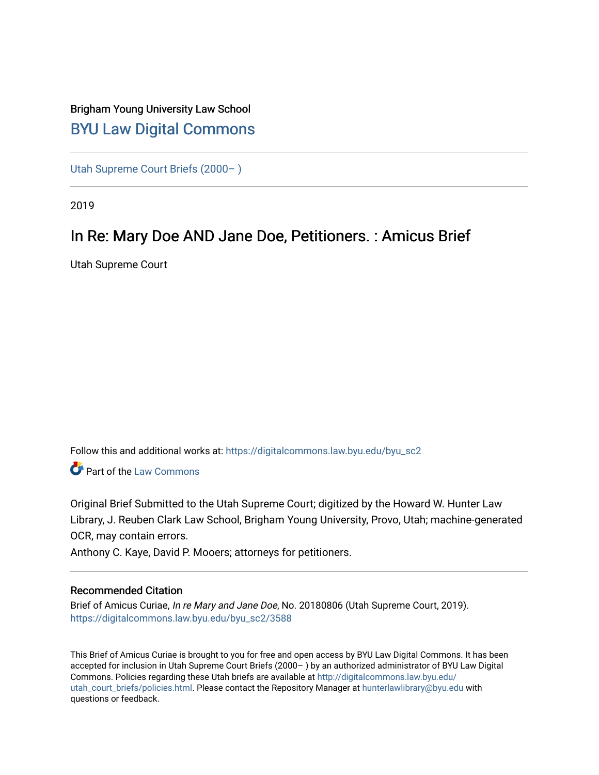## Brigham Young University Law School [BYU Law Digital Commons](https://digitalcommons.law.byu.edu/)

[Utah Supreme Court Briefs \(2000– \)](https://digitalcommons.law.byu.edu/byu_sc2)

2019

# In Re: Mary Doe AND Jane Doe, Petitioners. : Amicus Brief

Utah Supreme Court

Follow this and additional works at: [https://digitalcommons.law.byu.edu/byu\\_sc2](https://digitalcommons.law.byu.edu/byu_sc2?utm_source=digitalcommons.law.byu.edu%2Fbyu_sc2%2F3588&utm_medium=PDF&utm_campaign=PDFCoverPages) 

Part of the [Law Commons](https://network.bepress.com/hgg/discipline/578?utm_source=digitalcommons.law.byu.edu%2Fbyu_sc2%2F3588&utm_medium=PDF&utm_campaign=PDFCoverPages)

Original Brief Submitted to the Utah Supreme Court; digitized by the Howard W. Hunter Law Library, J. Reuben Clark Law School, Brigham Young University, Provo, Utah; machine-generated OCR, may contain errors.

Anthony C. Kaye, David P. Mooers; attorneys for petitioners.

#### Recommended Citation

Brief of Amicus Curiae, In re Mary and Jane Doe, No. 20180806 (Utah Supreme Court, 2019). [https://digitalcommons.law.byu.edu/byu\\_sc2/3588](https://digitalcommons.law.byu.edu/byu_sc2/3588?utm_source=digitalcommons.law.byu.edu%2Fbyu_sc2%2F3588&utm_medium=PDF&utm_campaign=PDFCoverPages)

This Brief of Amicus Curiae is brought to you for free and open access by BYU Law Digital Commons. It has been accepted for inclusion in Utah Supreme Court Briefs (2000– ) by an authorized administrator of BYU Law Digital Commons. Policies regarding these Utah briefs are available at [http://digitalcommons.law.byu.edu/](http://digitalcommons.law.byu.edu/utah_court_briefs/policies.html) [utah\\_court\\_briefs/policies.html.](http://digitalcommons.law.byu.edu/utah_court_briefs/policies.html) Please contact the Repository Manager at hunterlawlibrary@byu.edu with questions or feedback.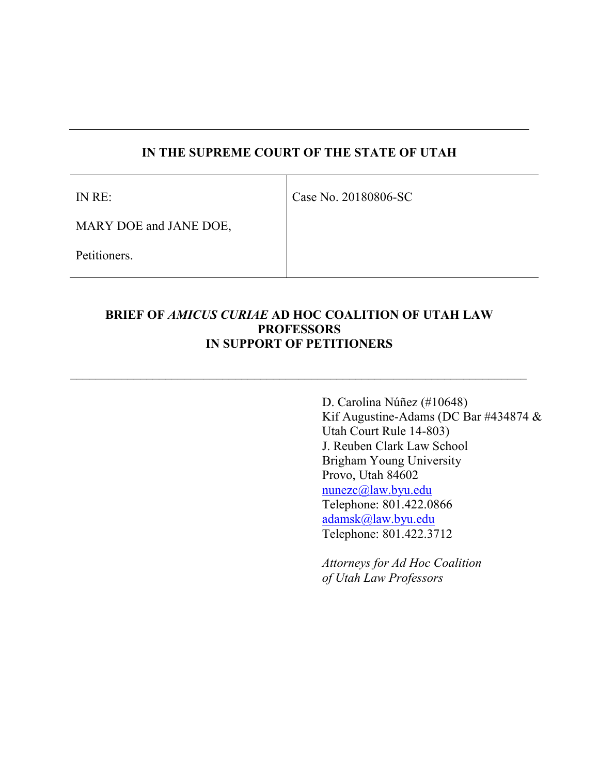### **IN THE SUPREME COURT OF THE STATE OF UTAH**

IN RE:

Case No. 20180806-SC

MARY DOE and JANE DOE,

Petitioners.

#### **BRIEF OF** *AMICUS CURIAE* **AD HOC COALITION OF UTAH LAW PROFESSORS IN SUPPORT OF PETITIONERS**

 $\_$  , and the set of the set of the set of the set of the set of the set of the set of the set of the set of the set of the set of the set of the set of the set of the set of the set of the set of the set of the set of th

D. Carolina Núñez (#10648) Kif Augustine-Adams (DC Bar #434874 & Utah Court Rule 14-803) J. Reuben Clark Law School Brigham Young University Provo, Utah 84602 [nunezc@law.byu.edu](mailto:nunezc@law.byu.edu) Telephone: 801.422.0866 [adamsk@law.byu.edu](mailto:adamsk@law.byu.edu) Telephone: 801.422.3712

*Attorneys for Ad Hoc Coalition of Utah Law Professors*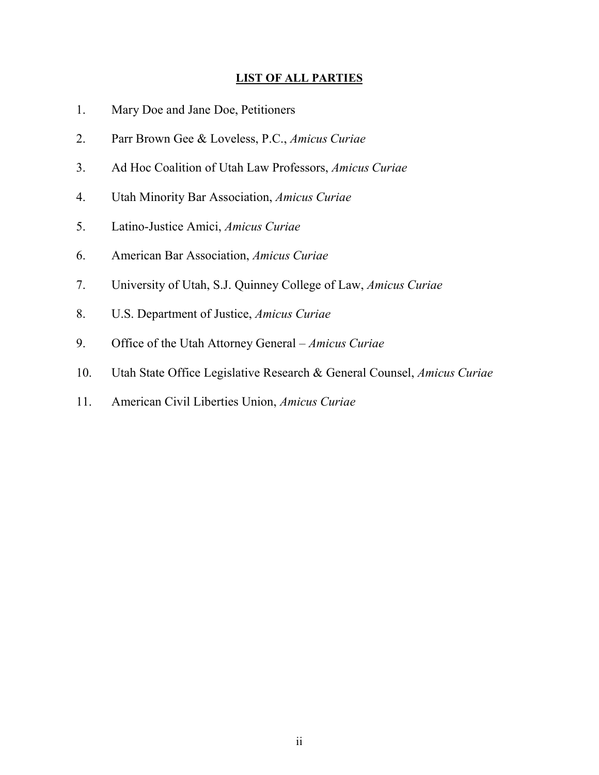#### **LIST OF ALL PARTIES**

- 1. Mary Doe and Jane Doe, Petitioners
- 2. Parr Brown Gee & Loveless, P.C., *Amicus Curiae*
- 3. Ad Hoc Coalition of Utah Law Professors, *Amicus Curiae*
- 4. Utah Minority Bar Association, *Amicus Curiae*
- 5. Latino-Justice Amici, *Amicus Curiae*
- 6. American Bar Association, *Amicus Curiae*
- 7. University of Utah, S.J. Quinney College of Law, *Amicus Curiae*
- 8. U.S. Department of Justice, *Amicus Curiae*
- 9. Office of the Utah Attorney General *Amicus Curiae*
- 10. Utah State Office Legislative Research & General Counsel, *Amicus Curiae*
- 11. American Civil Liberties Union, *Amicus Curiae*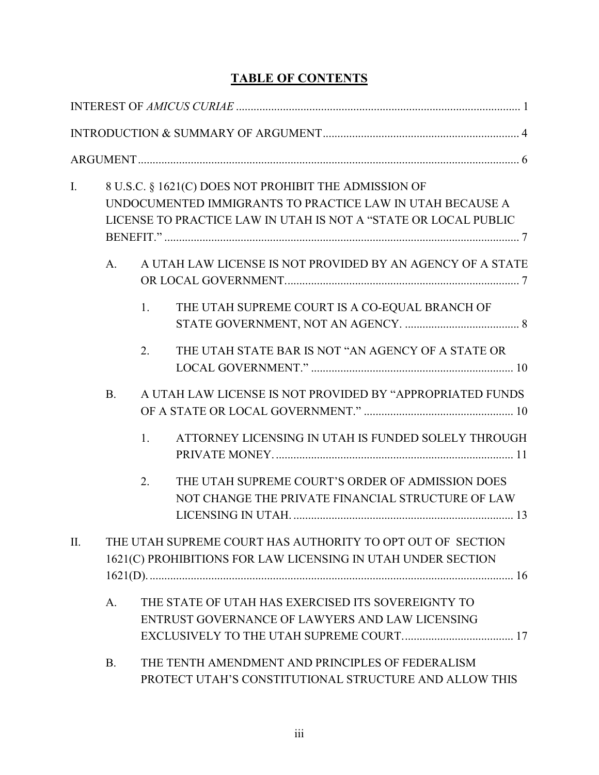## **TABLE OF CONTENTS**

| $\mathbf{I}$ . |                                                                                                                            |    | 8 U.S.C. § 1621(C) DOES NOT PROHIBIT THE ADMISSION OF<br>UNDOCUMENTED IMMIGRANTS TO PRACTICE LAW IN UTAH BECAUSE A<br>LICENSE TO PRACTICE LAW IN UTAH IS NOT A "STATE OR LOCAL PUBLIC |  |
|----------------|----------------------------------------------------------------------------------------------------------------------------|----|---------------------------------------------------------------------------------------------------------------------------------------------------------------------------------------|--|
|                | A <sub>1</sub>                                                                                                             |    | A UTAH LAW LICENSE IS NOT PROVIDED BY AN AGENCY OF A STATE                                                                                                                            |  |
|                |                                                                                                                            | 1. | THE UTAH SUPREME COURT IS A CO-EQUAL BRANCH OF                                                                                                                                        |  |
|                |                                                                                                                            | 2. | THE UTAH STATE BAR IS NOT "AN AGENCY OF A STATE OR                                                                                                                                    |  |
|                | <b>B.</b>                                                                                                                  |    | A UTAH LAW LICENSE IS NOT PROVIDED BY "APPROPRIATED FUNDS                                                                                                                             |  |
|                |                                                                                                                            | 1. | ATTORNEY LICENSING IN UTAH IS FUNDED SOLELY THROUGH                                                                                                                                   |  |
|                |                                                                                                                            | 2. | THE UTAH SUPREME COURT'S ORDER OF ADMISSION DOES<br>NOT CHANGE THE PRIVATE FINANCIAL STRUCTURE OF LAW                                                                                 |  |
| II.            | THE UTAH SUPREME COURT HAS AUTHORITY TO OPT OUT OF SECTION<br>1621(C) PROHIBITIONS FOR LAW LICENSING IN UTAH UNDER SECTION |    |                                                                                                                                                                                       |  |
|                | A.                                                                                                                         |    | THE STATE OF UTAH HAS EXERCISED ITS SOVEREIGNTY TO<br>ENTRUST GOVERNANCE OF LAWYERS AND LAW LICENSING                                                                                 |  |
|                | <b>B.</b>                                                                                                                  |    | THE TENTH AMENDMENT AND PRINCIPLES OF FEDERALISM<br>PROTECT UTAH'S CONSTITUTIONAL STRUCTURE AND ALLOW THIS                                                                            |  |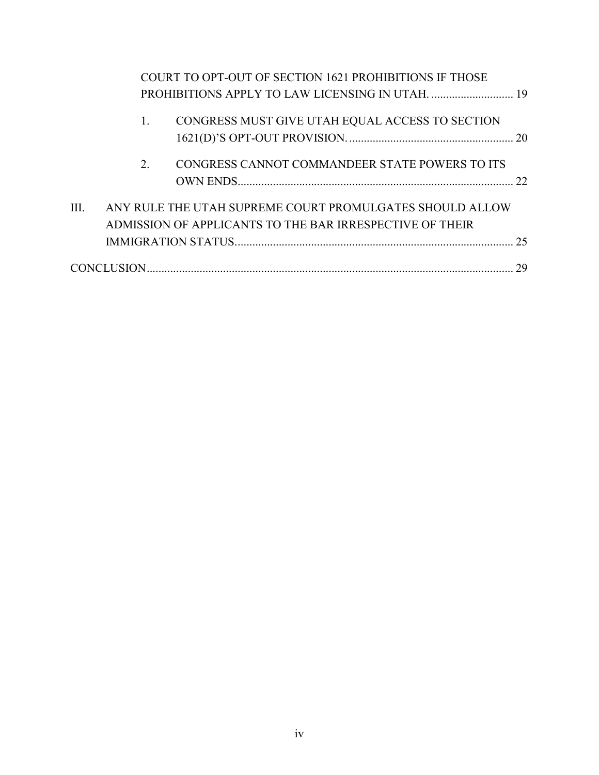|      |    | COURT TO OPT-OUT OF SECTION 1621 PROHIBITIONS IF THOSE                                                               |    |
|------|----|----------------------------------------------------------------------------------------------------------------------|----|
|      | 1. | CONGRESS MUST GIVE UTAH EQUAL ACCESS TO SECTION                                                                      |    |
|      | 2. | CONGRESS CANNOT COMMANDEER STATE POWERS TO ITS                                                                       | 22 |
| III. |    | ANY RULE THE UTAH SUPREME COURT PROMULGATES SHOULD ALLOW<br>ADMISSION OF APPLICANTS TO THE BAR IRRESPECTIVE OF THEIR | 25 |
|      |    |                                                                                                                      | 29 |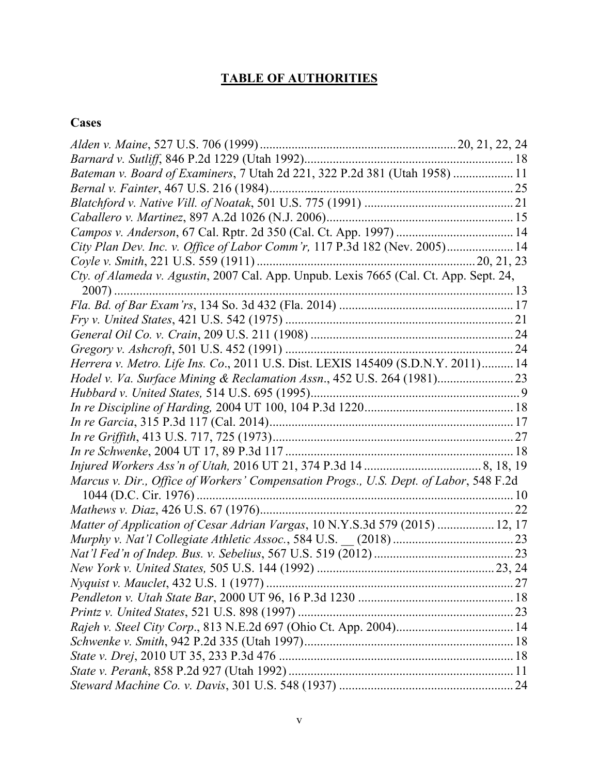# **TABLE OF AUTHORITIES**

# **Cases**

| Bateman v. Board of Examiners, 7 Utah 2d 221, 322 P.2d 381 (Utah 1958)  11            |  |
|---------------------------------------------------------------------------------------|--|
|                                                                                       |  |
|                                                                                       |  |
|                                                                                       |  |
|                                                                                       |  |
| City Plan Dev. Inc. v. Office of Labor Comm'r, 117 P.3d 182 (Nev. 2005) 14            |  |
|                                                                                       |  |
| Cty. of Alameda v. Agustin, 2007 Cal. App. Unpub. Lexis 7665 (Cal. Ct. App. Sept. 24, |  |
|                                                                                       |  |
|                                                                                       |  |
|                                                                                       |  |
|                                                                                       |  |
|                                                                                       |  |
| Herrera v. Metro. Life Ins. Co., 2011 U.S. Dist. LEXIS 145409 (S.D.N.Y. 2011) 14      |  |
| Hodel v. Va. Surface Mining & Reclamation Assn., 452 U.S. 264 (1981) 23               |  |
|                                                                                       |  |
|                                                                                       |  |
|                                                                                       |  |
|                                                                                       |  |
|                                                                                       |  |
|                                                                                       |  |
| Marcus v. Dir., Office of Workers' Compensation Progs., U.S. Dept. of Labor, 548 F.2d |  |
|                                                                                       |  |
|                                                                                       |  |
| Matter of Application of Cesar Adrian Vargas, 10 N.Y.S.3d 579 (2015)  12, 17          |  |
|                                                                                       |  |
|                                                                                       |  |
|                                                                                       |  |
|                                                                                       |  |
|                                                                                       |  |
|                                                                                       |  |
|                                                                                       |  |
|                                                                                       |  |
|                                                                                       |  |
|                                                                                       |  |
|                                                                                       |  |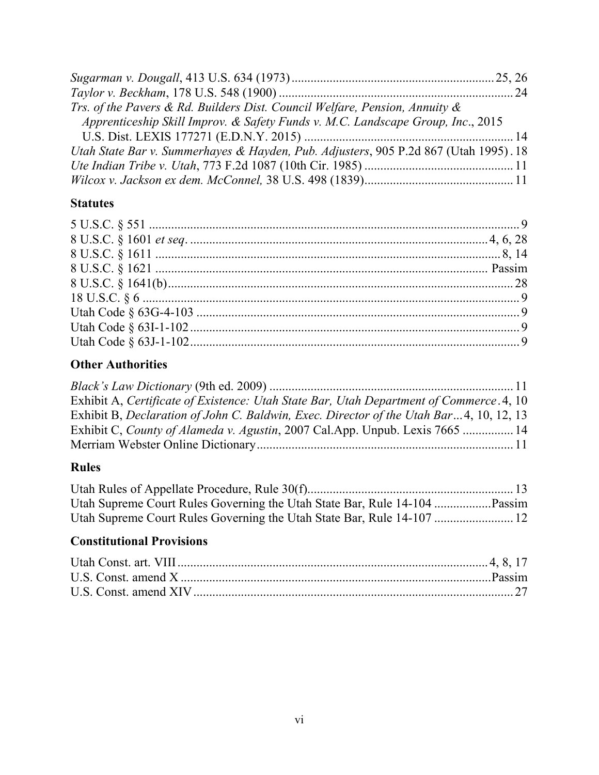| Trs. of the Pavers & Rd. Builders Dist. Council Welfare, Pension, Annuity $\&$       |  |
|--------------------------------------------------------------------------------------|--|
| Apprenticeship Skill Improv. & Safety Funds v. M.C. Landscape Group, Inc., 2015      |  |
|                                                                                      |  |
| Utah State Bar v. Summerhayes & Hayden, Pub. Adjusters, 905 P.2d 867 (Utah 1995). 18 |  |
|                                                                                      |  |
|                                                                                      |  |

### **Statutes**

## **Other Authorities**

| Exhibit A, Certificate of Existence: Utah State Bar, Utah Department of Commerce. 4, 10 |  |
|-----------------------------------------------------------------------------------------|--|
| Exhibit B, Declaration of John C. Baldwin, Exec. Director of the Utah Bar4, 10, 12, 13  |  |
| Exhibit C, County of Alameda v. Agustin, 2007 Cal.App. Unpub. Lexis 7665  14            |  |
|                                                                                         |  |

## **Rules**

## **Constitutional Provisions**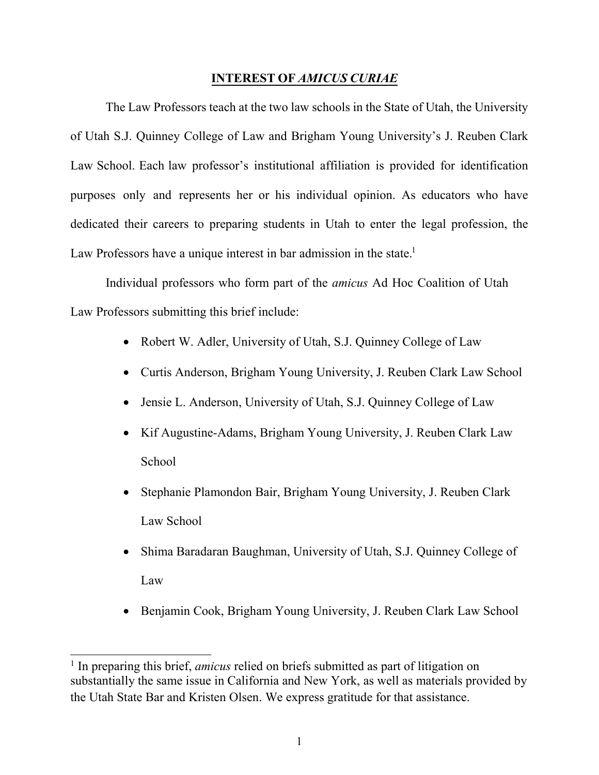#### **INTEREST OF** *AMICUS CURIAE*

<span id="page-7-0"></span>The Law Professors teach at the two law schools in the State of Utah, the University of Utah S.J. Quinney College of Law and Brigham Young University's J. Reuben Clark Law School. Each law professor's institutional affiliation is provided for identification purposes only and represents her or his individual opinion. As educators who have dedicated their careers to preparing students in Utah to enter the legal profession, the Law Professors have a unique interest in bar admission in the state.<sup>[1](#page-7-1)</sup>

Individual professors who form part of the *amicus* Ad Hoc Coalition of Utah Law Professors submitting this brief include:

- Robert W. Adler, University of Utah, S.J. Quinney College of Law
- Curtis Anderson, Brigham Young University, J. Reuben Clark Law School
- Jensie L. Anderson, University of Utah, S.J. Quinney College of Law
- Kif Augustine-Adams, Brigham Young University, J. Reuben Clark Law School
- Stephanie Plamondon Bair, Brigham Young University, J. Reuben Clark Law School
- Shima Baradaran Baughman, University of Utah, S.J. Quinney College of Law
- Benjamin Cook, Brigham Young University, J. Reuben Clark Law School

<span id="page-7-1"></span><sup>&</sup>lt;sup>1</sup> In preparing this brief, *amicus* relied on briefs submitted as part of litigation on substantially the same issue in California and New York, as well as materials provided by the Utah State Bar and Kristen Olsen. We express gratitude for that assistance.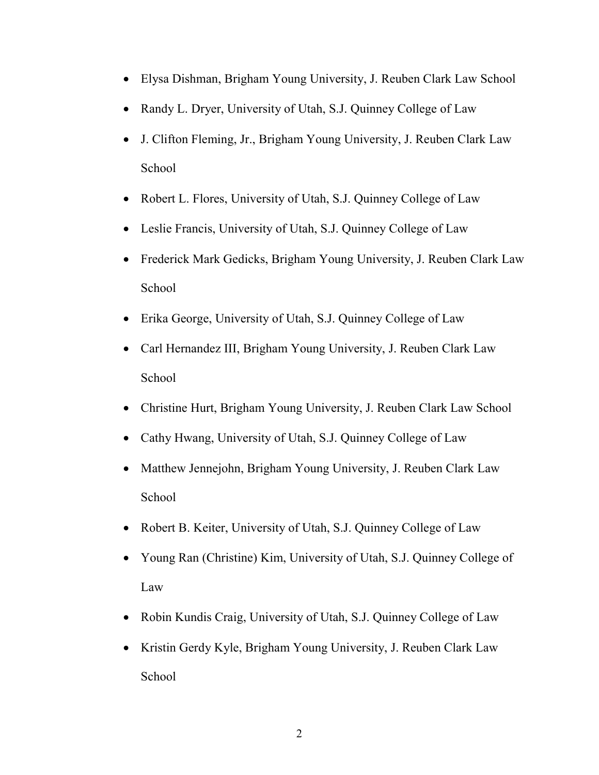- Elysa Dishman, Brigham Young University, J. Reuben Clark Law School
- Randy L. Dryer, University of Utah, S.J. Quinney College of Law
- J. Clifton Fleming, Jr., Brigham Young University, J. Reuben Clark Law School
- Robert L. Flores, University of Utah, S.J. Quinney College of Law
- Leslie Francis, University of Utah, S.J. Quinney College of Law
- Frederick Mark Gedicks, Brigham Young University, J. Reuben Clark Law School
- Erika George, University of Utah, S.J. Quinney College of Law
- Carl Hernandez III, Brigham Young University, J. Reuben Clark Law School
- Christine Hurt, Brigham Young University, J. Reuben Clark Law School
- Cathy Hwang, University of Utah, S.J. Quinney College of Law
- Matthew Jennejohn, Brigham Young University, J. Reuben Clark Law School
- Robert B. Keiter, University of Utah, S.J. Quinney College of Law
- Young Ran (Christine) Kim, University of Utah, S.J. Quinney College of Law
- Robin Kundis Craig, University of Utah, S.J. Quinney College of Law
- Kristin Gerdy Kyle, Brigham Young University, J. Reuben Clark Law School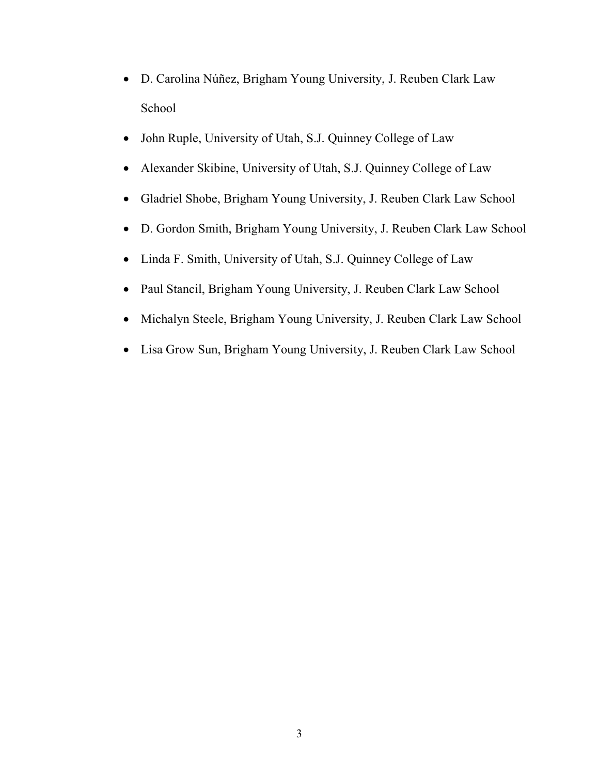- D. Carolina Núñez, Brigham Young University, J. Reuben Clark Law School
- John Ruple, University of Utah, S.J. Quinney College of Law
- Alexander Skibine, University of Utah, S.J. Quinney College of Law
- Gladriel Shobe, Brigham Young University, J. Reuben Clark Law School
- D. Gordon Smith, Brigham Young University, J. Reuben Clark Law School
- Linda F. Smith, University of Utah, S.J. Quinney College of Law
- Paul Stancil, Brigham Young University, J. Reuben Clark Law School
- Michalyn Steele, Brigham Young University, J. Reuben Clark Law School
- Lisa Grow Sun, Brigham Young University, J. Reuben Clark Law School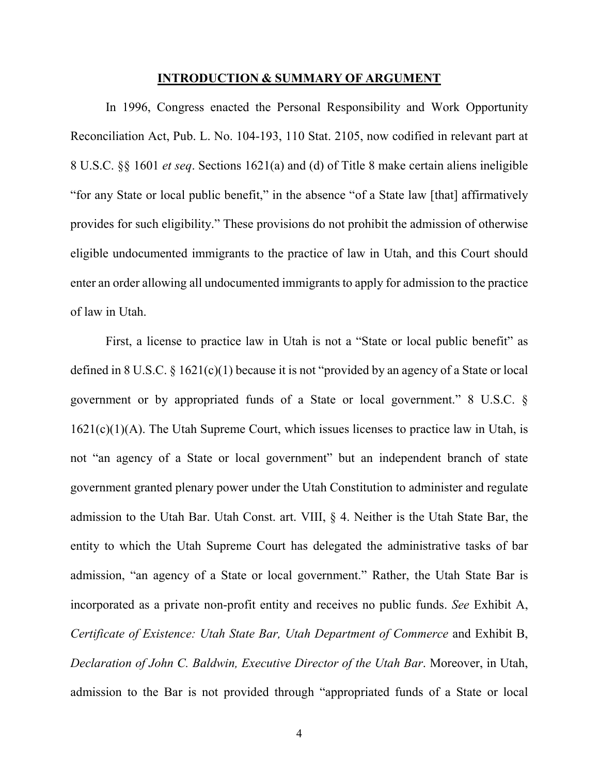#### **INTRODUCTION & SUMMARY OF ARGUMENT**

<span id="page-10-0"></span>In 1996, Congress enacted the Personal Responsibility and Work Opportunity Reconciliation Act, Pub. L. No. 104-193, 110 Stat. 2105, now codified in relevant part at 8 U.S.C. §§ 1601 *et seq*. Sections 1621(a) and (d) of Title 8 make certain aliens ineligible "for any State or local public benefit," in the absence "of a State law [that] affirmatively provides for such eligibility." These provisions do not prohibit the admission of otherwise eligible undocumented immigrants to the practice of law in Utah, and this Court should enter an order allowing all undocumented immigrants to apply for admission to the practice of law in Utah.

First, a license to practice law in Utah is not a "State or local public benefit" as defined in 8 U.S.C. § 1621(c)(1) because it is not "provided by an agency of a State or local government or by appropriated funds of a State or local government." 8 U.S.C. §  $1621(c)(1)(A)$ . The Utah Supreme Court, which issues licenses to practice law in Utah, is not "an agency of a State or local government" but an independent branch of state government granted plenary power under the Utah Constitution to administer and regulate admission to the Utah Bar. Utah Const. art. VIII, § 4. Neither is the Utah State Bar, the entity to which the Utah Supreme Court has delegated the administrative tasks of bar admission, "an agency of a State or local government." Rather, the Utah State Bar is incorporated as a private non-profit entity and receives no public funds. *See* Exhibit A, *Certificate of Existence: Utah State Bar, Utah Department of Commerce* and Exhibit B, *Declaration of John C. Baldwin, Executive Director of the Utah Bar*. Moreover, in Utah, admission to the Bar is not provided through "appropriated funds of a State or local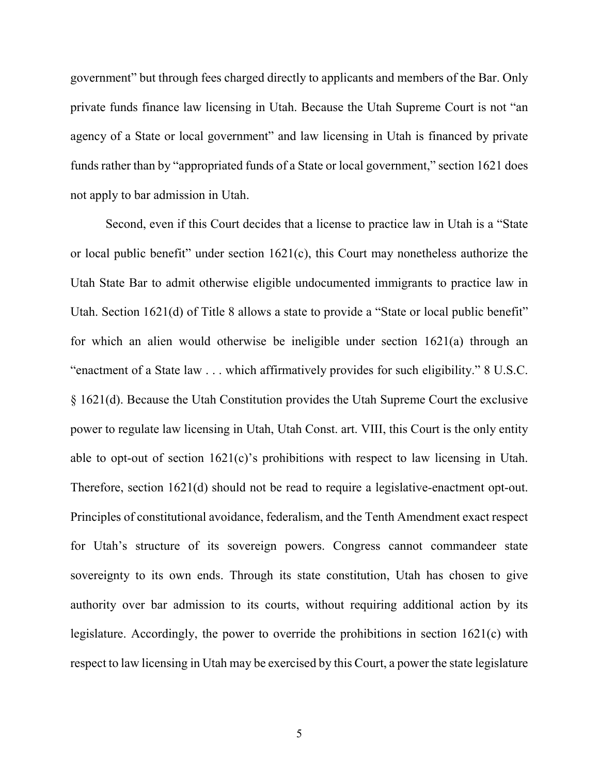government" but through fees charged directly to applicants and members of the Bar. Only private funds finance law licensing in Utah. Because the Utah Supreme Court is not "an agency of a State or local government" and law licensing in Utah is financed by private funds rather than by "appropriated funds of a State or local government," section 1621 does not apply to bar admission in Utah.

Second, even if this Court decides that a license to practice law in Utah is a "State or local public benefit" under section 1621(c), this Court may nonetheless authorize the Utah State Bar to admit otherwise eligible undocumented immigrants to practice law in Utah. Section 1621(d) of Title 8 allows a state to provide a "State or local public benefit" for which an alien would otherwise be ineligible under section 1621(a) through an "enactment of a State law . . . which affirmatively provides for such eligibility." 8 U.S.C. § 1621(d). Because the Utah Constitution provides the Utah Supreme Court the exclusive power to regulate law licensing in Utah, Utah Const. art. VIII, this Court is the only entity able to opt-out of section 1621(c)'s prohibitions with respect to law licensing in Utah. Therefore, section 1621(d) should not be read to require a legislative-enactment opt-out. Principles of constitutional avoidance, federalism, and the Tenth Amendment exact respect for Utah's structure of its sovereign powers. Congress cannot commandeer state sovereignty to its own ends. Through its state constitution, Utah has chosen to give authority over bar admission to its courts, without requiring additional action by its legislature. Accordingly, the power to override the prohibitions in section 1621(c) with respect to law licensing in Utah may be exercised by this Court, a power the state legislature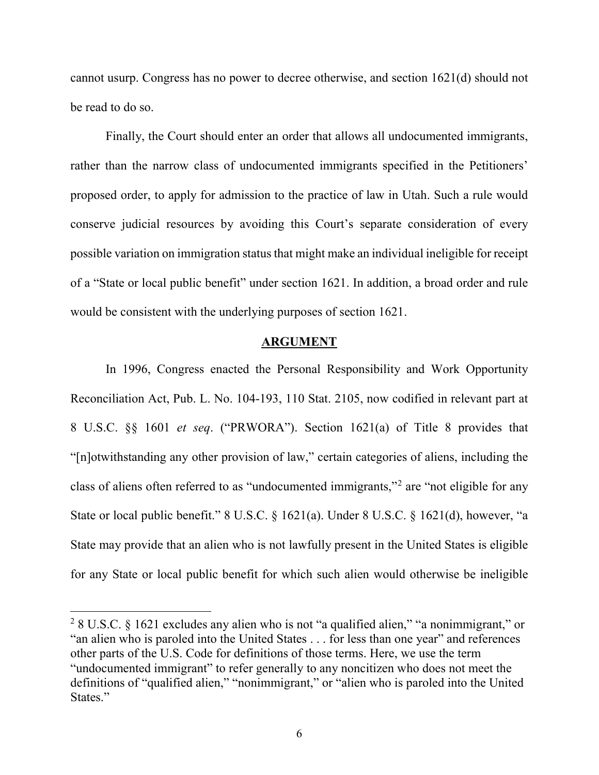cannot usurp. Congress has no power to decree otherwise, and section 1621(d) should not be read to do so.

Finally, the Court should enter an order that allows all undocumented immigrants, rather than the narrow class of undocumented immigrants specified in the Petitioners' proposed order, to apply for admission to the practice of law in Utah. Such a rule would conserve judicial resources by avoiding this Court's separate consideration of every possible variation on immigration status that might make an individual ineligible for receipt of a "State or local public benefit" under section 1621. In addition, a broad order and rule would be consistent with the underlying purposes of section 1621.

#### **ARGUMENT**

<span id="page-12-0"></span>In 1996, Congress enacted the Personal Responsibility and Work Opportunity Reconciliation Act, Pub. L. No. 104-193, 110 Stat. 2105, now codified in relevant part at 8 U.S.C. §§ 1601 *et seq*. ("PRWORA"). Section 1621(a) of Title 8 provides that "[n]otwithstanding any other provision of law," certain categories of aliens, including the class of aliens often referred to as "undocumented immigrants,"[2](#page-12-1) are "not eligible for any State or local public benefit." 8 U.S.C. § 1621(a). Under 8 U.S.C. § 1621(d), however, "a State may provide that an alien who is not lawfully present in the United States is eligible for any State or local public benefit for which such alien would otherwise be ineligible

<span id="page-12-1"></span> <sup>2</sup> 8 U.S.C. § 1621 excludes any alien who is not "a qualified alien," "a nonimmigrant," or "an alien who is paroled into the United States . . . for less than one year" and references other parts of the U.S. Code for definitions of those terms. Here, we use the term "undocumented immigrant" to refer generally to any noncitizen who does not meet the definitions of "qualified alien," "nonimmigrant," or "alien who is paroled into the United States."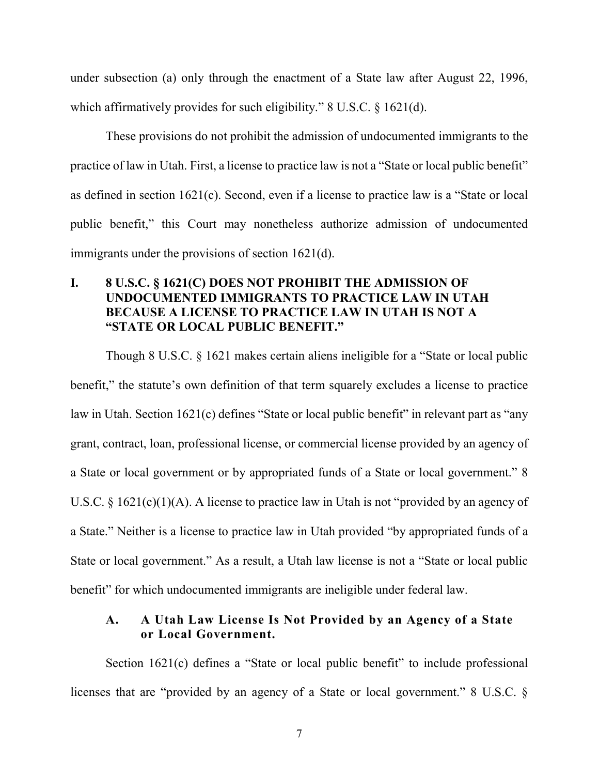under subsection (a) only through the enactment of a State law after August 22, 1996, which affirmatively provides for such eligibility." 8 U.S.C. § 1621(d).

These provisions do not prohibit the admission of undocumented immigrants to the practice of law in Utah. First, a license to practice law is not a "State or local public benefit" as defined in section 1621(c). Second, even if a license to practice law is a "State or local public benefit," this Court may nonetheless authorize admission of undocumented immigrants under the provisions of section 1621(d).

#### <span id="page-13-0"></span>**I. 8 U.S.C. § 1621(C) DOES NOT PROHIBIT THE ADMISSION OF UNDOCUMENTED IMMIGRANTS TO PRACTICE LAW IN UTAH BECAUSE A LICENSE TO PRACTICE LAW IN UTAH IS NOT A "STATE OR LOCAL PUBLIC BENEFIT."**

Though 8 U.S.C. § 1621 makes certain aliens ineligible for a "State or local public benefit," the statute's own definition of that term squarely excludes a license to practice law in Utah. Section 1621(c) defines "State or local public benefit" in relevant part as "any grant, contract, loan, professional license, or commercial license provided by an agency of a State or local government or by appropriated funds of a State or local government." 8 U.S.C.  $\S 1621(c)(1)(A)$ . A license to practice law in Utah is not "provided by an agency of a State." Neither is a license to practice law in Utah provided "by appropriated funds of a State or local government." As a result, a Utah law license is not a "State or local public benefit" for which undocumented immigrants are ineligible under federal law.

#### <span id="page-13-1"></span>**A. A Utah Law License Is Not Provided by an Agency of a State or Local Government.**

Section 1621(c) defines a "State or local public benefit" to include professional licenses that are "provided by an agency of a State or local government." 8 U.S.C. §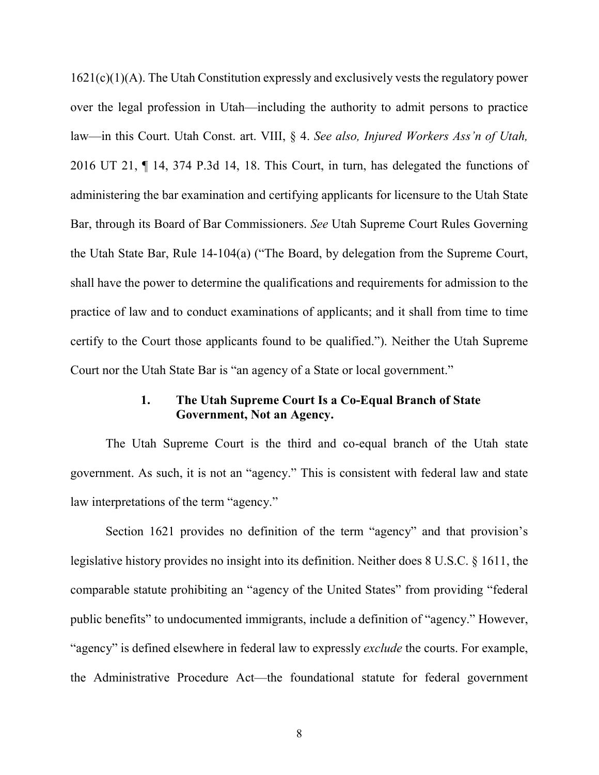1621(c)(1)(A). The Utah Constitution expressly and exclusively vests the regulatory power over the legal profession in Utah—including the authority to admit persons to practice law—in this Court. Utah Const. art. VIII, § 4. *See also, Injured Workers Ass'n of Utah,*  2016 UT 21, ¶ 14, 374 P.3d 14, 18. This Court, in turn, has delegated the functions of administering the bar examination and certifying applicants for licensure to the Utah State Bar, through its Board of Bar Commissioners. *See* Utah Supreme Court Rules Governing the Utah State Bar, Rule 14-104(a) ("The Board, by delegation from the Supreme Court, shall have the power to determine the qualifications and requirements for admission to the practice of law and to conduct examinations of applicants; and it shall from time to time certify to the Court those applicants found to be qualified."). Neither the Utah Supreme Court nor the Utah State Bar is "an agency of a State or local government."

#### **1. The Utah Supreme Court Is a Co-Equal Branch of State Government, Not an Agency.**

<span id="page-14-0"></span>The Utah Supreme Court is the third and co-equal branch of the Utah state government. As such, it is not an "agency." This is consistent with federal law and state law interpretations of the term "agency."

Section 1621 provides no definition of the term "agency" and that provision's legislative history provides no insight into its definition. Neither does 8 U.S.C. § 1611, the comparable statute prohibiting an "agency of the United States" from providing "federal public benefits" to undocumented immigrants, include a definition of "agency." However, "agency" is defined elsewhere in federal law to expressly *exclude* the courts. For example, the Administrative Procedure Act—the foundational statute for federal government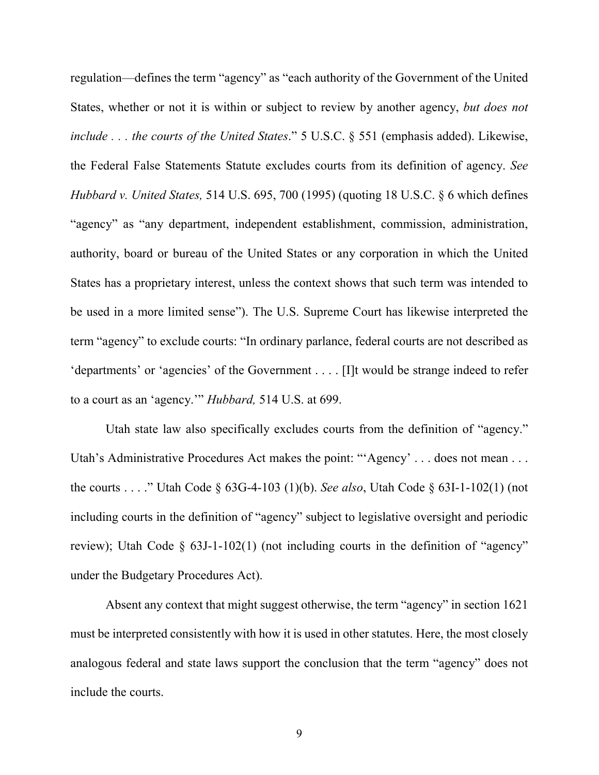regulation—defines the term "agency" as "each authority of the Government of the United States, whether or not it is within or subject to review by another agency, *but does not include . . . the courts of the United States*." 5 U.S.C. § 551 (emphasis added). Likewise, the Federal False Statements Statute excludes courts from its definition of agency. *See Hubbard v. United States,* 514 U.S. 695, 700 (1995) (quoting 18 U.S.C. § 6 which defines "agency" as "any department, independent establishment, commission, administration, authority, board or bureau of the United States or any corporation in which the United States has a proprietary interest, unless the context shows that such term was intended to be used in a more limited sense"). The U.S. Supreme Court has likewise interpreted the term "agency" to exclude courts: "In ordinary parlance, federal courts are not described as 'departments' or 'agencies' of the Government . . . . [I]t would be strange indeed to refer to a court as an 'agency.'" *Hubbard,* 514 U.S. at 699.

Utah state law also specifically excludes courts from the definition of "agency." Utah's Administrative Procedures Act makes the point: "'Agency' . . . does not mean . . . the courts . . . ." Utah Code § 63G-4-103 (1)(b). *See also*, Utah Code § 63I-1-102(1) (not including courts in the definition of "agency" subject to legislative oversight and periodic review); Utah Code § 63J-1-102(1) (not including courts in the definition of "agency" under the Budgetary Procedures Act).

Absent any context that might suggest otherwise, the term "agency" in section 1621 must be interpreted consistently with how it is used in other statutes. Here, the most closely analogous federal and state laws support the conclusion that the term "agency" does not include the courts.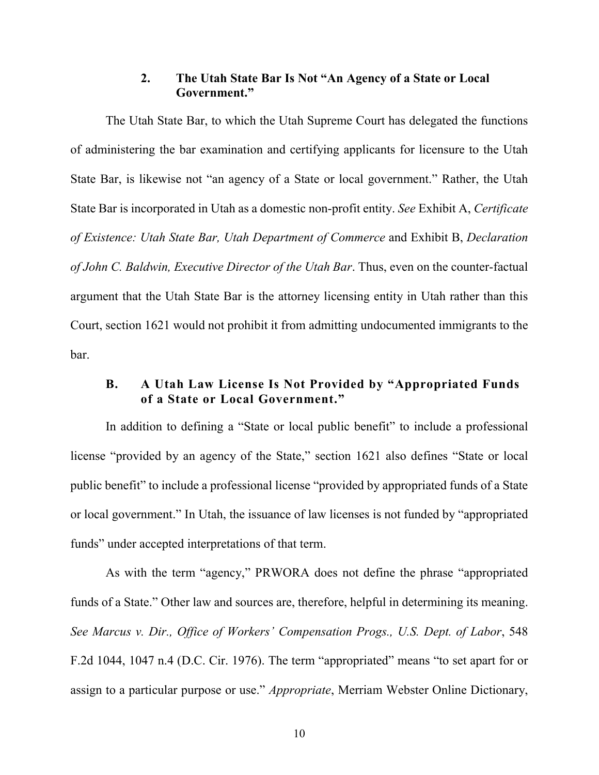#### **2. The Utah State Bar Is Not "An Agency of a State or Local Government."**

<span id="page-16-0"></span>The Utah State Bar, to which the Utah Supreme Court has delegated the functions of administering the bar examination and certifying applicants for licensure to the Utah State Bar, is likewise not "an agency of a State or local government." Rather, the Utah State Bar is incorporated in Utah as a domestic non-profit entity. *See* Exhibit A, *Certificate of Existence: Utah State Bar, Utah Department of Commerce* and Exhibit B, *Declaration of John C. Baldwin, Executive Director of the Utah Bar*. Thus, even on the counter-factual argument that the Utah State Bar is the attorney licensing entity in Utah rather than this Court, section 1621 would not prohibit it from admitting undocumented immigrants to the bar.

#### <span id="page-16-1"></span>**B. A Utah Law License Is Not Provided by "Appropriated Funds of a State or Local Government."**

In addition to defining a "State or local public benefit" to include a professional license "provided by an agency of the State," section 1621 also defines "State or local public benefit" to include a professional license "provided by appropriated funds of a State or local government." In Utah, the issuance of law licenses is not funded by "appropriated funds" under accepted interpretations of that term.

As with the term "agency," PRWORA does not define the phrase "appropriated funds of a State." Other law and sources are, therefore, helpful in determining its meaning. *See Marcus v. Dir., Office of Workers' Compensation Progs., U.S. Dept. of Labor*, 548 F.2d 1044, 1047 n.4 (D.C. Cir. 1976). The term "appropriated" means "to set apart for or assign to a particular purpose or use." *Appropriate*, Merriam Webster Online Dictionary,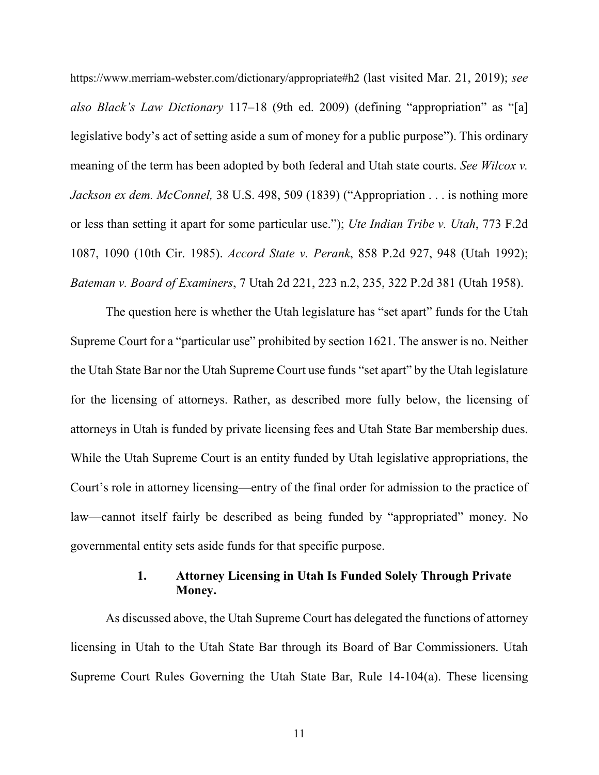https://www.merriam-webster.com/dictionary/appropriate#h2 (last visited Mar. 21, 2019); *see also Black's Law Dictionary* 117–18 (9th ed. 2009) (defining "appropriation" as "[a] legislative body's act of setting aside a sum of money for a public purpose"). This ordinary meaning of the term has been adopted by both federal and Utah state courts. *See Wilcox v. Jackson ex dem. McConnel,* 38 U.S. 498, 509 (1839) ("Appropriation . . . is nothing more or less than setting it apart for some particular use."); *Ute Indian Tribe v. Utah*, 773 F.2d 1087, 1090 (10th Cir. 1985). *Accord State v. Perank*, 858 P.2d 927, 948 (Utah 1992); *Bateman v. Board of Examiners*, 7 Utah 2d 221, 223 n.2, 235, 322 P.2d 381 (Utah 1958).

The question here is whether the Utah legislature has "set apart" funds for the Utah Supreme Court for a "particular use" prohibited by section 1621. The answer is no. Neither the Utah State Bar nor the Utah Supreme Court use funds "set apart" by the Utah legislature for the licensing of attorneys. Rather, as described more fully below, the licensing of attorneys in Utah is funded by private licensing fees and Utah State Bar membership dues. While the Utah Supreme Court is an entity funded by Utah legislative appropriations, the Court's role in attorney licensing—entry of the final order for admission to the practice of law—cannot itself fairly be described as being funded by "appropriated" money. No governmental entity sets aside funds for that specific purpose.

#### **1. Attorney Licensing in Utah Is Funded Solely Through Private Money.**

<span id="page-17-0"></span>As discussed above, the Utah Supreme Court has delegated the functions of attorney licensing in Utah to the Utah State Bar through its Board of Bar Commissioners. Utah Supreme Court Rules Governing the Utah State Bar, Rule 14-104(a). These licensing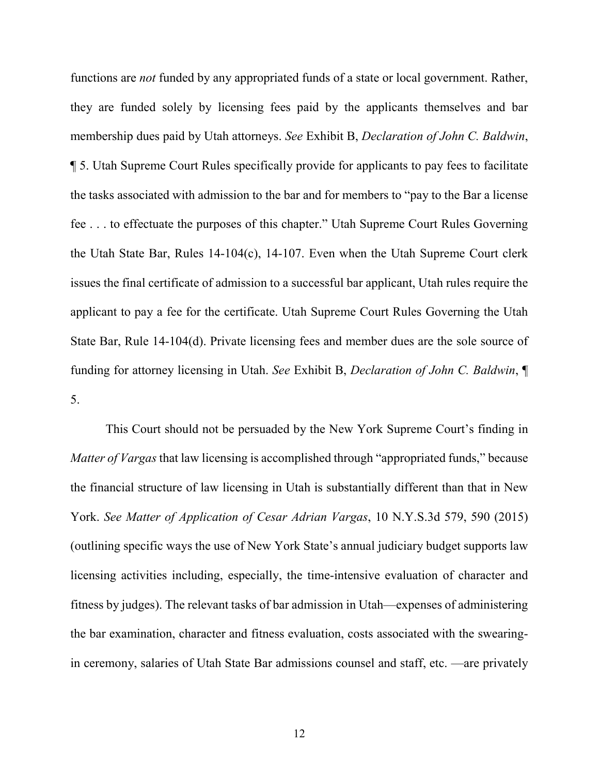functions are *not* funded by any appropriated funds of a state or local government. Rather, they are funded solely by licensing fees paid by the applicants themselves and bar membership dues paid by Utah attorneys. *See* Exhibit B, *Declaration of John C. Baldwin*, ¶ 5. Utah Supreme Court Rules specifically provide for applicants to pay fees to facilitate the tasks associated with admission to the bar and for members to "pay to the Bar a license fee . . . to effectuate the purposes of this chapter." Utah Supreme Court Rules Governing the Utah State Bar, Rules 14-104(c), 14-107. Even when the Utah Supreme Court clerk issues the final certificate of admission to a successful bar applicant, Utah rules require the applicant to pay a fee for the certificate. Utah Supreme Court Rules Governing the Utah State Bar, Rule 14-104(d). Private licensing fees and member dues are the sole source of funding for attorney licensing in Utah. *See* Exhibit B, *Declaration of John C. Baldwin*, ¶ 5.

This Court should not be persuaded by the New York Supreme Court's finding in *Matter of Vargas* that law licensing is accomplished through "appropriated funds," because the financial structure of law licensing in Utah is substantially different than that in New York. *See Matter of Application of Cesar Adrian Vargas*, 10 N.Y.S.3d 579, 590 (2015) (outlining specific ways the use of New York State's annual judiciary budget supports law licensing activities including, especially, the time-intensive evaluation of character and fitness by judges). The relevant tasks of bar admission in Utah—expenses of administering the bar examination, character and fitness evaluation, costs associated with the swearingin ceremony, salaries of Utah State Bar admissions counsel and staff, etc. —are privately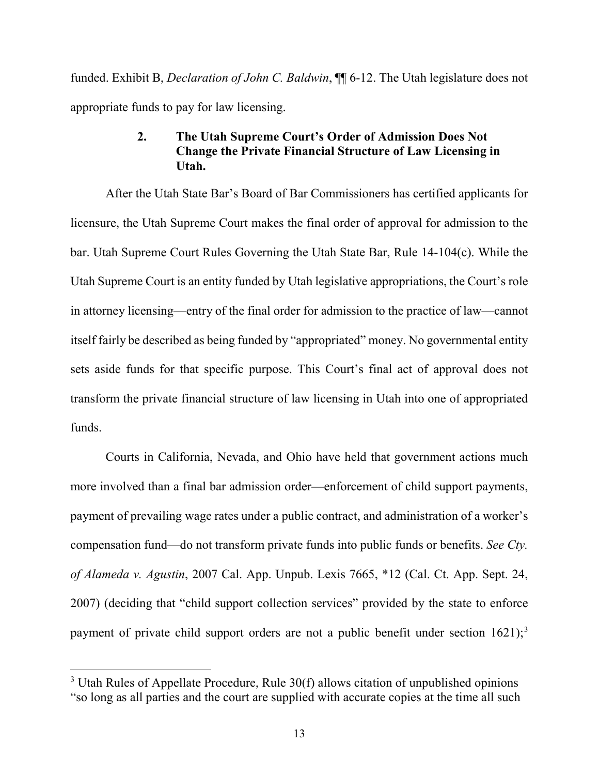<span id="page-19-0"></span>funded. Exhibit B, *Declaration of John C. Baldwin*, ¶¶ 6-12. The Utah legislature does not appropriate funds to pay for law licensing.

#### **2. The Utah Supreme Court's Order of Admission Does Not Change the Private Financial Structure of Law Licensing in Utah.**

After the Utah State Bar's Board of Bar Commissioners has certified applicants for licensure, the Utah Supreme Court makes the final order of approval for admission to the bar. Utah Supreme Court Rules Governing the Utah State Bar, Rule 14-104(c). While the Utah Supreme Court is an entity funded by Utah legislative appropriations, the Court's role in attorney licensing—entry of the final order for admission to the practice of law—cannot itself fairly be described as being funded by "appropriated" money. No governmental entity sets aside funds for that specific purpose. This Court's final act of approval does not transform the private financial structure of law licensing in Utah into one of appropriated funds.

Courts in California, Nevada, and Ohio have held that government actions much more involved than a final bar admission order—enforcement of child support payments, payment of prevailing wage rates under a public contract, and administration of a worker's compensation fund—do not transform private funds into public funds or benefits. *See Cty. of Alameda v. Agustin*, 2007 Cal. App. Unpub. Lexis 7665, \*12 (Cal. Ct. App. Sept. 24, 2007) (deciding that "child support collection services" provided by the state to enforce payment of private child support orders are not a public benefit under section 1621);<sup>[3](#page-19-1)</sup>

<span id="page-19-1"></span> $3$  Utah Rules of Appellate Procedure, Rule  $30(f)$  allows citation of unpublished opinions "so long as all parties and the court are supplied with accurate copies at the time all such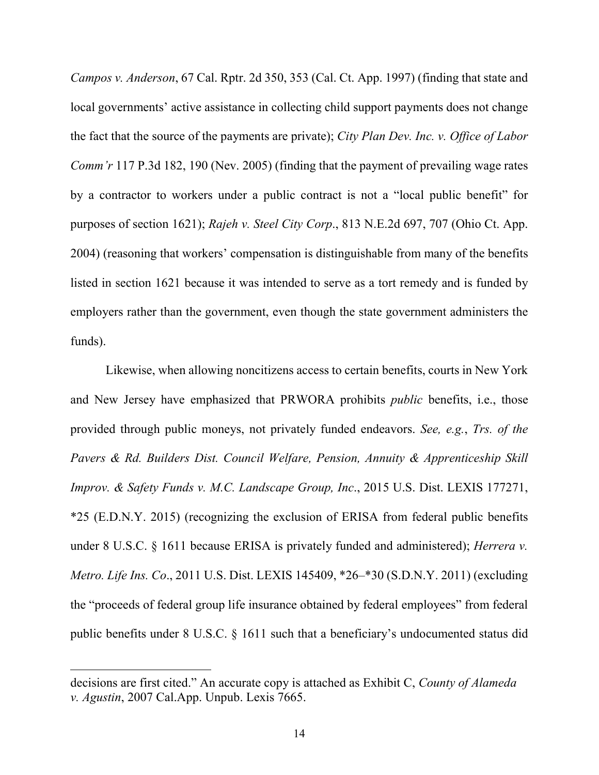*Campos v. Anderson*, 67 Cal. Rptr. 2d 350, 353 (Cal. Ct. App. 1997) (finding that state and local governments' active assistance in collecting child support payments does not change the fact that the source of the payments are private); *City Plan Dev. Inc. v. Office of Labor Comm'r* 117 P.3d 182, 190 (Nev. 2005) (finding that the payment of prevailing wage rates by a contractor to workers under a public contract is not a "local public benefit" for purposes of section 1621); *Rajeh v. Steel City Corp*., 813 N.E.2d 697, 707 (Ohio Ct. App. 2004) (reasoning that workers' compensation is distinguishable from many of the benefits listed in section 1621 because it was intended to serve as a tort remedy and is funded by employers rather than the government, even though the state government administers the funds).

Likewise, when allowing noncitizens access to certain benefits, courts in New York and New Jersey have emphasized that PRWORA prohibits *public* benefits, i.e., those provided through public moneys, not privately funded endeavors. *See, e.g.*, *Trs. of the Pavers & Rd. Builders Dist. Council Welfare, Pension, Annuity & Apprenticeship Skill Improv. & Safety Funds v. M.C. Landscape Group, Inc*., 2015 U.S. Dist. LEXIS 177271, \*25 (E.D.N.Y. 2015) (recognizing the exclusion of ERISA from federal public benefits under 8 U.S.C. § 1611 because ERISA is privately funded and administered); *Herrera v. Metro. Life Ins. Co*., 2011 U.S. Dist. LEXIS 145409, \*26–\*30 (S.D.N.Y. 2011) (excluding the "proceeds of federal group life insurance obtained by federal employees" from federal public benefits under 8 U.S.C. § 1611 such that a beneficiary's undocumented status did

 $\overline{a}$ 

decisions are first cited." An accurate copy is attached as Exhibit C, *County of Alameda v. Agustin*, 2007 Cal.App. Unpub. Lexis 7665.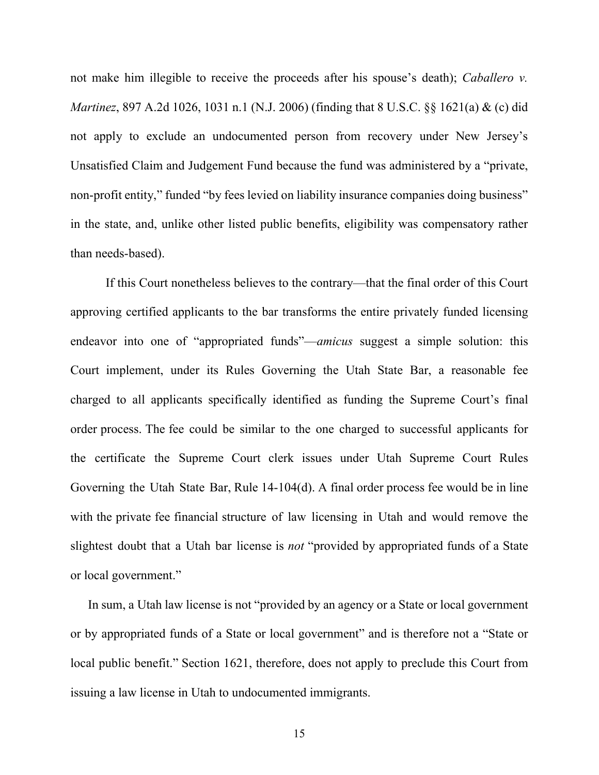not make him illegible to receive the proceeds after his spouse's death); *Caballero v. Martinez*, 897 A.2d 1026, 1031 n.1 (N.J. 2006) (finding that 8 U.S.C. §§ 1621(a) & (c) did not apply to exclude an undocumented person from recovery under New Jersey's Unsatisfied Claim and Judgement Fund because the fund was administered by a "private, non-profit entity," funded "by fees levied on liability insurance companies doing business" in the state, and, unlike other listed public benefits, eligibility was compensatory rather than needs-based).

If this Court nonetheless believes to the contrary—that the final order of this Court approving certified applicants to the bar transforms the entire privately funded licensing endeavor into one of "appropriated funds"—*amicus* suggest a simple solution: this Court implement, under its Rules Governing the Utah State Bar, a reasonable fee charged to all applicants specifically identified as funding the Supreme Court's final order process. The fee could be similar to the one charged to successful applicants for the certificate the Supreme Court clerk issues under Utah Supreme Court Rules Governing the Utah State Bar, Rule 14-104(d). A final order process fee would be in line with the private fee financial structure of law licensing in Utah and would remove the slightest doubt that a Utah bar license is *not* "provided by appropriated funds of a State or local government."

In sum, a Utah law license is not "provided by an agency or a State or local government or by appropriated funds of a State or local government" and is therefore not a "State or local public benefit." Section 1621, therefore, does not apply to preclude this Court from issuing a law license in Utah to undocumented immigrants.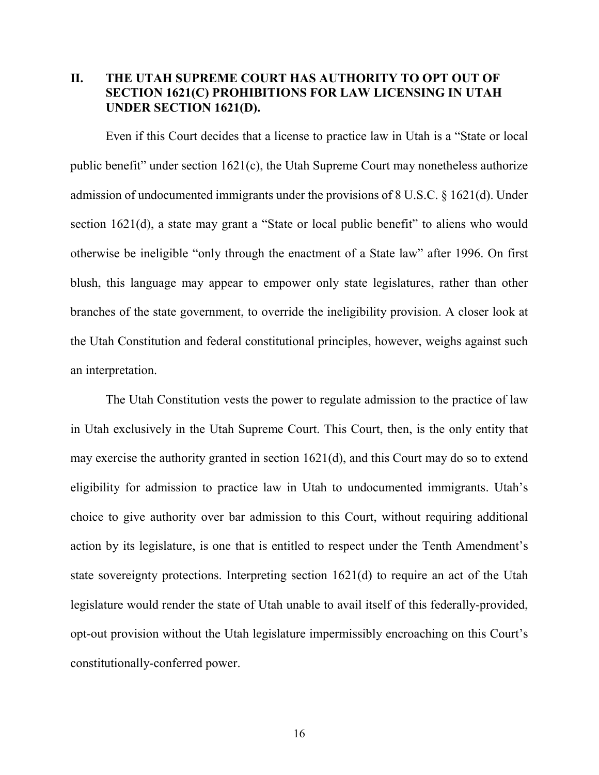#### <span id="page-22-0"></span>**II. THE UTAH SUPREME COURT HAS AUTHORITY TO OPT OUT OF SECTION 1621(C) PROHIBITIONS FOR LAW LICENSING IN UTAH UNDER SECTION 1621(D).**

Even if this Court decides that a license to practice law in Utah is a "State or local public benefit" under section 1621(c), the Utah Supreme Court may nonetheless authorize admission of undocumented immigrants under the provisions of 8 U.S.C. § 1621(d). Under section 1621(d), a state may grant a "State or local public benefit" to aliens who would otherwise be ineligible "only through the enactment of a State law" after 1996. On first blush, this language may appear to empower only state legislatures, rather than other branches of the state government, to override the ineligibility provision. A closer look at the Utah Constitution and federal constitutional principles, however, weighs against such an interpretation.

The Utah Constitution vests the power to regulate admission to the practice of law in Utah exclusively in the Utah Supreme Court. This Court, then, is the only entity that may exercise the authority granted in section 1621(d), and this Court may do so to extend eligibility for admission to practice law in Utah to undocumented immigrants. Utah's choice to give authority over bar admission to this Court, without requiring additional action by its legislature, is one that is entitled to respect under the Tenth Amendment's state sovereignty protections. Interpreting section 1621(d) to require an act of the Utah legislature would render the state of Utah unable to avail itself of this federally-provided, opt-out provision without the Utah legislature impermissibly encroaching on this Court's constitutionally-conferred power.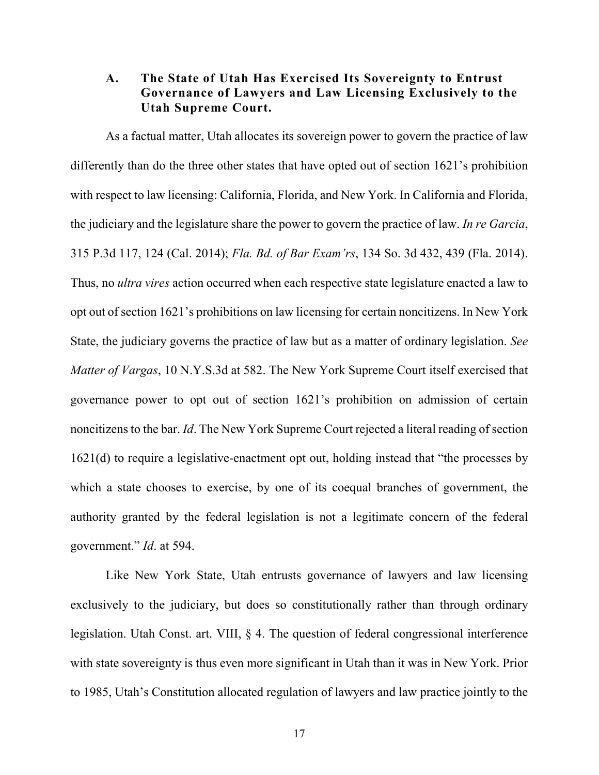#### <span id="page-23-0"></span>**A. The State of Utah Has Exercised Its Sovereignty to Entrust Governance of Lawyers and Law Licensing Exclusively to the Utah Supreme Court.**

As a factual matter, Utah allocates its sovereign power to govern the practice of law differently than do the three other states that have opted out of section 1621's prohibition with respect to law licensing: California, Florida, and New York. In California and Florida, the judiciary and the legislature share the power to govern the practice of law. *In re Garcia*, 315 P.3d 117, 124 (Cal. 2014); *Fla. Bd. of Bar Exam'rs*, 134 So. 3d 432, 439 (Fla. 2014). Thus, no *ultra vires* action occurred when each respective state legislature enacted a law to opt out of section 1621's prohibitions on law licensing for certain noncitizens. In New York State, the judiciary governs the practice of law but as a matter of ordinary legislation. *See Matter of Vargas*, 10 N.Y.S.3d at 582. The New York Supreme Court itself exercised that governance power to opt out of section 1621's prohibition on admission of certain noncitizens to the bar. *Id*. The New York Supreme Court rejected a literal reading of section 1621(d) to require a legislative-enactment opt out, holding instead that "the processes by which a state chooses to exercise, by one of its coequal branches of government, the authority granted by the federal legislation is not a legitimate concern of the federal government." *Id*. at 594.

Like New York State, Utah entrusts governance of lawyers and law licensing exclusively to the judiciary, but does so constitutionally rather than through ordinary legislation. Utah Const. art. VIII, § 4. The question of federal congressional interference with state sovereignty is thus even more significant in Utah than it was in New York. Prior to 1985, Utah's Constitution allocated regulation of lawyers and law practice jointly to the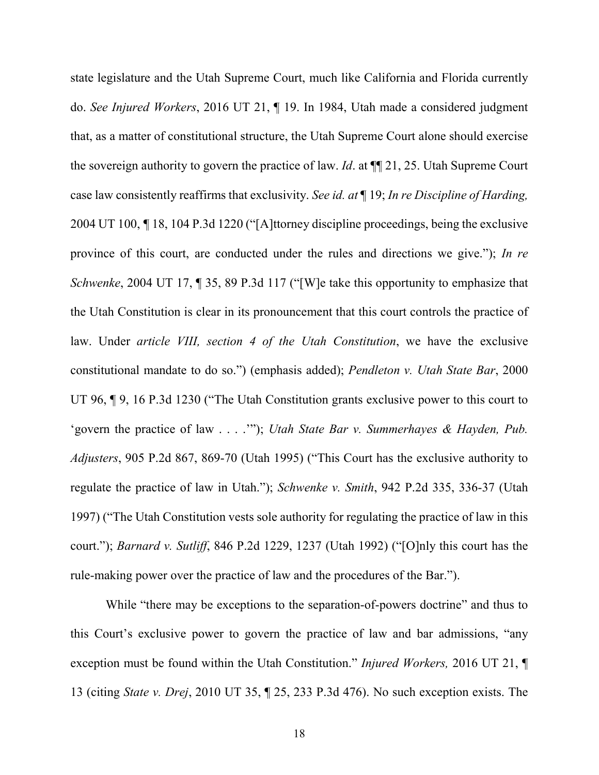state legislature and the Utah Supreme Court, much like California and Florida currently do. *See Injured Workers*, 2016 UT 21, ¶ 19. In 1984, Utah made a considered judgment that, as a matter of constitutional structure, the Utah Supreme Court alone should exercise the sovereign authority to govern the practice of law. *Id*. at ¶¶ 21, 25. Utah Supreme Court case law consistently reaffirms that exclusivity. *See id. at* ¶ 19; *In re Discipline of Harding,*  2004 UT 100, *¶* 18, 104 P.3d 1220 ("[A]ttorney discipline proceedings, being the exclusive province of this court, are conducted under the rules and directions we give."); *In re Schwenke*, 2004 UT 17, 1 35, 89 P.3d 117 ("[W]e take this opportunity to emphasize that the Utah Constitution is clear in its pronouncement that this court controls the practice of law. Under *article VIII, section 4 of the Utah Constitution*, we have the exclusive constitutional mandate to do so.") (emphasis added); *Pendleton v. Utah State Bar*, 2000 UT 96,  $\P$  9, 16 P.3d 1230 ("The Utah Constitution grants exclusive power to this court to 'govern the practice of law . . . .'"); *Utah State Bar v. Summerhayes & Hayden, Pub. Adjusters*, 905 P.2d 867, 869-70 (Utah 1995) ("This Court has the exclusive authority to regulate the practice of law in Utah."); *Schwenke v. Smith*, 942 P.2d 335, 336-37 (Utah 1997) ("The Utah Constitution vests sole authority for regulating the practice of law in this court."); *Barnard v. Sutliff*, 846 P.2d 1229, 1237 (Utah 1992) ("[O]nly this court has the rule-making power over the practice of law and the procedures of the Bar.").

While "there may be exceptions to the separation-of-powers doctrine" and thus to this Court's exclusive power to govern the practice of law and bar admissions, "any exception must be found within the Utah Constitution." *Injured Workers,* 2016 UT 21, ¶ 13 (citing *State v. Drej*, 2010 UT 35, ¶ 25, 233 P.3d 476). No such exception exists. The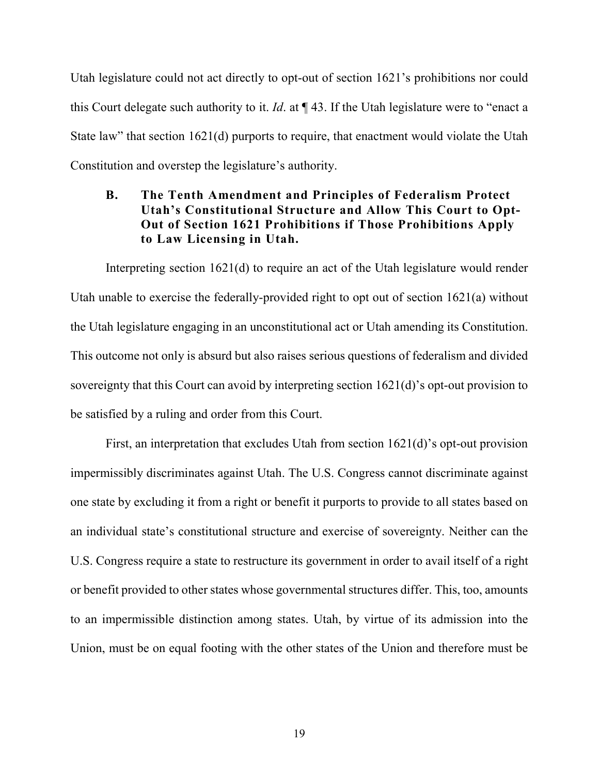Utah legislature could not act directly to opt-out of section 1621's prohibitions nor could this Court delegate such authority to it. *Id*. at ¶ 43. If the Utah legislature were to "enact a State law" that section 1621(d) purports to require, that enactment would violate the Utah Constitution and overstep the legislature's authority.

#### <span id="page-25-0"></span>**B. The Tenth Amendment and Principles of Federalism Protect Utah's Constitutional Structure and Allow This Court to Opt-Out of Section 1621 Prohibitions if Those Prohibitions Apply to Law Licensing in Utah.**

Interpreting section 1621(d) to require an act of the Utah legislature would render Utah unable to exercise the federally-provided right to opt out of section 1621(a) without the Utah legislature engaging in an unconstitutional act or Utah amending its Constitution. This outcome not only is absurd but also raises serious questions of federalism and divided sovereignty that this Court can avoid by interpreting section 1621(d)'s opt-out provision to be satisfied by a ruling and order from this Court.

First, an interpretation that excludes Utah from section 1621(d)'s opt-out provision impermissibly discriminates against Utah. The U.S. Congress cannot discriminate against one state by excluding it from a right or benefit it purports to provide to all states based on an individual state's constitutional structure and exercise of sovereignty. Neither can the U.S. Congress require a state to restructure its government in order to avail itself of a right or benefit provided to other states whose governmental structures differ. This, too, amounts to an impermissible distinction among states. Utah, by virtue of its admission into the Union, must be on equal footing with the other states of the Union and therefore must be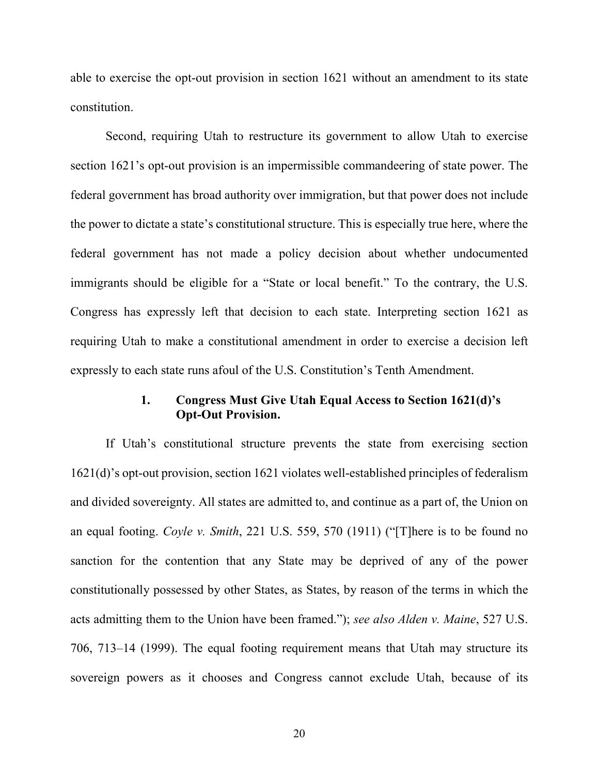able to exercise the opt-out provision in section 1621 without an amendment to its state constitution.

Second, requiring Utah to restructure its government to allow Utah to exercise section 1621's opt-out provision is an impermissible commandeering of state power. The federal government has broad authority over immigration, but that power does not include the power to dictate a state's constitutional structure. This is especially true here, where the federal government has not made a policy decision about whether undocumented immigrants should be eligible for a "State or local benefit." To the contrary, the U.S. Congress has expressly left that decision to each state. Interpreting section 1621 as requiring Utah to make a constitutional amendment in order to exercise a decision left expressly to each state runs afoul of the U.S. Constitution's Tenth Amendment.

#### **1. Congress Must Give Utah Equal Access to Section 1621(d)'s Opt-Out Provision.**

<span id="page-26-0"></span>If Utah's constitutional structure prevents the state from exercising section 1621(d)'s opt-out provision, section 1621 violates well-established principles of federalism and divided sovereignty. All states are admitted to, and continue as a part of, the Union on an equal footing. *Coyle v. Smith*, 221 U.S. 559, 570 (1911) ("[T]here is to be found no sanction for the contention that any State may be deprived of any of the power constitutionally possessed by other States, as States, by reason of the terms in which the acts admitting them to the Union have been framed."); *see also Alden v. Maine*, 527 U.S. 706, 713–14 (1999). The equal footing requirement means that Utah may structure its sovereign powers as it chooses and Congress cannot exclude Utah, because of its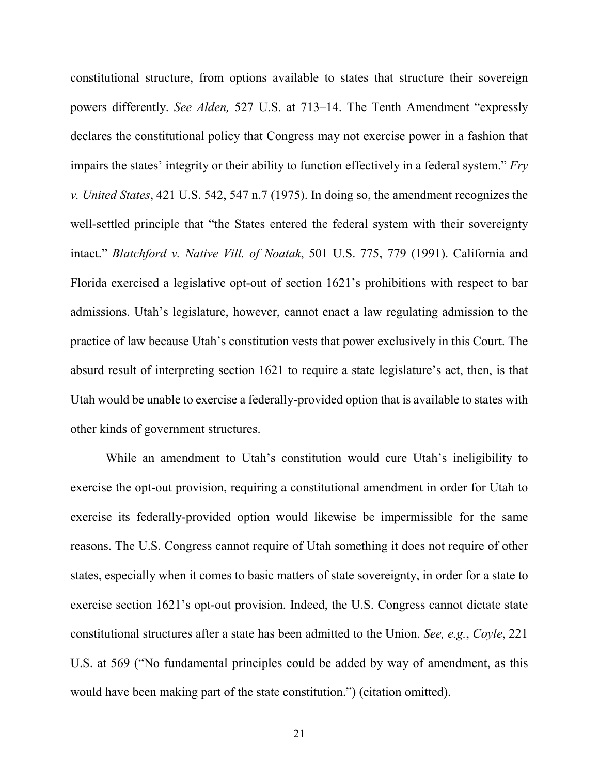constitutional structure, from options available to states that structure their sovereign powers differently. *See Alden,* 527 U.S. at 713–14. The Tenth Amendment "expressly declares the constitutional policy that Congress may not exercise power in a fashion that impairs the states' integrity or their ability to function effectively in a federal system." *Fry v. United States*, 421 U.S. 542, 547 n.7 (1975). In doing so, the amendment recognizes the well-settled principle that "the States entered the federal system with their sovereignty intact." *Blatchford v. Native Vill. of Noatak*, 501 U.S. 775, 779 (1991). California and Florida exercised a legislative opt-out of section 1621's prohibitions with respect to bar admissions. Utah's legislature, however, cannot enact a law regulating admission to the practice of law because Utah's constitution vests that power exclusively in this Court. The absurd result of interpreting section 1621 to require a state legislature's act, then, is that Utah would be unable to exercise a federally-provided option that is available to states with other kinds of government structures.

While an amendment to Utah's constitution would cure Utah's ineligibility to exercise the opt-out provision, requiring a constitutional amendment in order for Utah to exercise its federally-provided option would likewise be impermissible for the same reasons. The U.S. Congress cannot require of Utah something it does not require of other states, especially when it comes to basic matters of state sovereignty, in order for a state to exercise section 1621's opt-out provision. Indeed, the U.S. Congress cannot dictate state constitutional structures after a state has been admitted to the Union. *See, e.g.*, *Coyle*, 221 U.S. at 569 ("No fundamental principles could be added by way of amendment, as this would have been making part of the state constitution.") (citation omitted).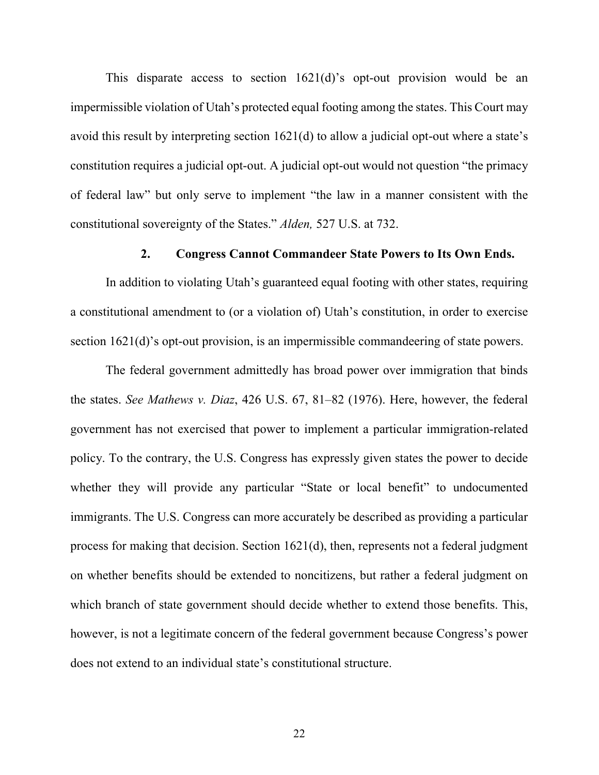This disparate access to section 1621(d)'s opt-out provision would be an impermissible violation of Utah's protected equal footing among the states. This Court may avoid this result by interpreting section 1621(d) to allow a judicial opt-out where a state's constitution requires a judicial opt-out. A judicial opt-out would not question "the primacy of federal law" but only serve to implement "the law in a manner consistent with the constitutional sovereignty of the States." *Alden,* 527 U.S. at 732.

#### **2. Congress Cannot Commandeer State Powers to Its Own Ends.**

<span id="page-28-0"></span>In addition to violating Utah's guaranteed equal footing with other states, requiring a constitutional amendment to (or a violation of) Utah's constitution, in order to exercise section 1621(d)'s opt-out provision, is an impermissible commandeering of state powers.

The federal government admittedly has broad power over immigration that binds the states. *See Mathews v. Diaz*, 426 U.S. 67, 81–82 (1976). Here, however, the federal government has not exercised that power to implement a particular immigration-related policy. To the contrary, the U.S. Congress has expressly given states the power to decide whether they will provide any particular "State or local benefit" to undocumented immigrants. The U.S. Congress can more accurately be described as providing a particular process for making that decision. Section 1621(d), then, represents not a federal judgment on whether benefits should be extended to noncitizens, but rather a federal judgment on which branch of state government should decide whether to extend those benefits. This, however, is not a legitimate concern of the federal government because Congress's power does not extend to an individual state's constitutional structure.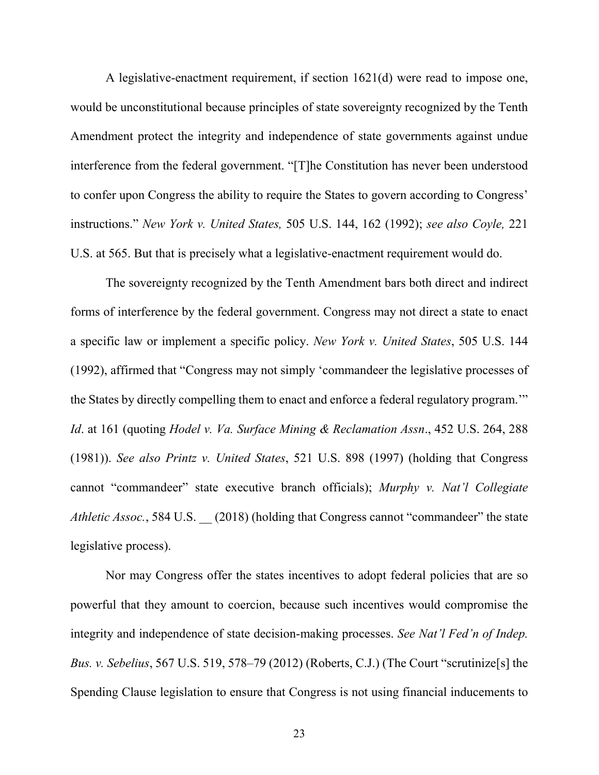A legislative-enactment requirement, if section 1621(d) were read to impose one, would be unconstitutional because principles of state sovereignty recognized by the Tenth Amendment protect the integrity and independence of state governments against undue interference from the federal government. "[T]he Constitution has never been understood to confer upon Congress the ability to require the States to govern according to Congress' instructions." *New York v. United States,* 505 U.S. 144, 162 (1992); *see also Coyle,* 221 U.S. at 565. But that is precisely what a legislative-enactment requirement would do.

The sovereignty recognized by the Tenth Amendment bars both direct and indirect forms of interference by the federal government. Congress may not direct a state to enact a specific law or implement a specific policy. *New York v. United States*, 505 U.S. 144 (1992), affirmed that "Congress may not simply 'commandeer the legislative processes of the States by directly compelling them to enact and enforce a federal regulatory program.'" *Id*. at 161 (quoting *Hodel v. Va. Surface Mining & Reclamation Assn*., 452 U.S. 264, 288 (1981)). *See also Printz v. United States*, 521 U.S. 898 (1997) (holding that Congress cannot "commandeer" state executive branch officials); *Murphy v. Nat'l Collegiate Athletic Assoc.*, 584 U.S. \_\_ (2018) (holding that Congress cannot "commandeer" the state legislative process).

Nor may Congress offer the states incentives to adopt federal policies that are so powerful that they amount to coercion, because such incentives would compromise the integrity and independence of state decision-making processes. *See Nat'l Fed'n of Indep. Bus. v. Sebelius*, 567 U.S. 519, 578–79 (2012) (Roberts, C.J.) (The Court "scrutinize[s] the Spending Clause legislation to ensure that Congress is not using financial inducements to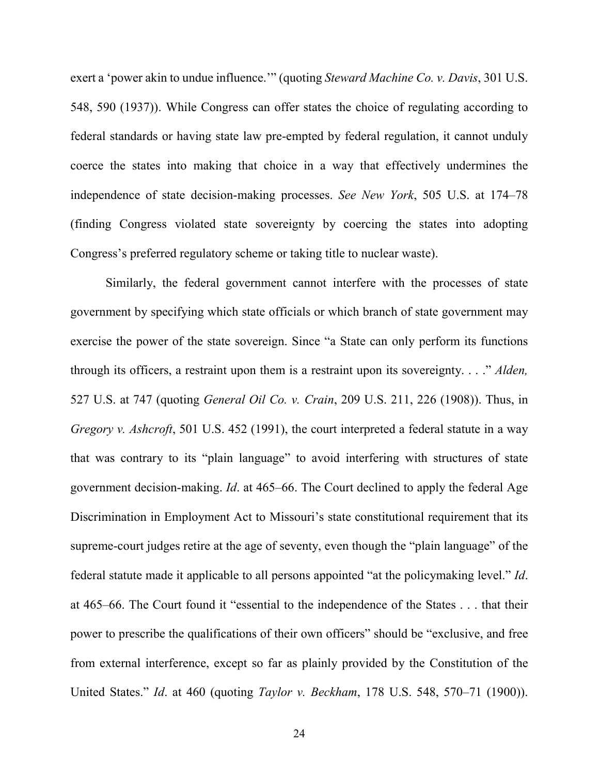exert a 'power akin to undue influence.'" (quoting *Steward Machine Co. v. Davis*, 301 U.S. 548, 590 (1937)). While Congress can offer states the choice of regulating according to federal standards or having state law pre-empted by federal regulation, it cannot unduly coerce the states into making that choice in a way that effectively undermines the independence of state decision-making processes. *See New York*, 505 U.S. at 174–78 (finding Congress violated state sovereignty by coercing the states into adopting Congress's preferred regulatory scheme or taking title to nuclear waste).

Similarly, the federal government cannot interfere with the processes of state government by specifying which state officials or which branch of state government may exercise the power of the state sovereign. Since "a State can only perform its functions through its officers, a restraint upon them is a restraint upon its sovereignty. . . ." *Alden,*  527 U.S. at 747 (quoting *General Oil Co. v. Crain*, 209 U.S. 211, 226 (1908)). Thus, in *Gregory v. Ashcroft*, 501 U.S. 452 (1991), the court interpreted a federal statute in a way that was contrary to its "plain language" to avoid interfering with structures of state government decision-making. *Id*. at 465–66. The Court declined to apply the federal Age Discrimination in Employment Act to Missouri's state constitutional requirement that its supreme-court judges retire at the age of seventy, even though the "plain language" of the federal statute made it applicable to all persons appointed "at the policymaking level." *Id*. at 465–66. The Court found it "essential to the independence of the States . . . that their power to prescribe the qualifications of their own officers" should be "exclusive, and free from external interference, except so far as plainly provided by the Constitution of the United States." *Id*. at 460 (quoting *Taylor v. Beckham*, 178 U.S. 548, 570–71 (1900)).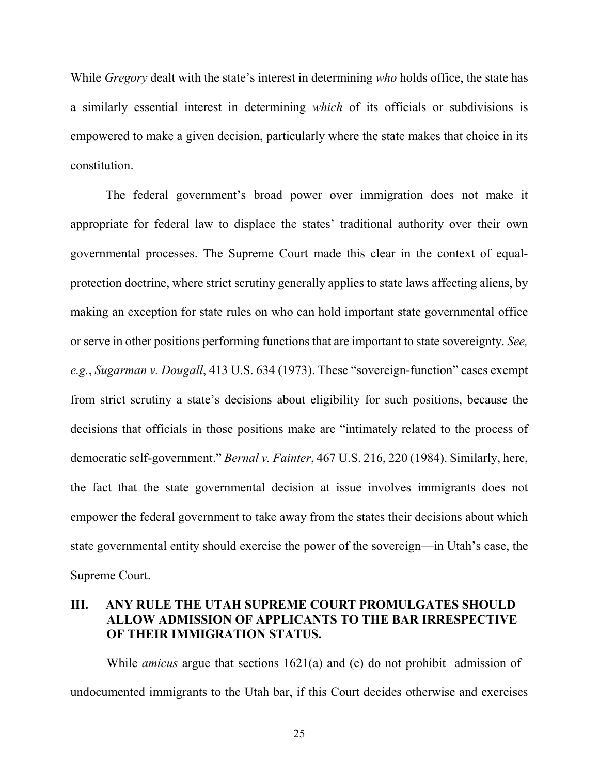While *Gregory* dealt with the state's interest in determining *who* holds office, the state has a similarly essential interest in determining *which* of its officials or subdivisions is empowered to make a given decision, particularly where the state makes that choice in its constitution.

The federal government's broad power over immigration does not make it appropriate for federal law to displace the states' traditional authority over their own governmental processes. The Supreme Court made this clear in the context of equalprotection doctrine, where strict scrutiny generally applies to state laws affecting aliens, by making an exception for state rules on who can hold important state governmental office or serve in other positions performing functions that are important to state sovereignty. *See, e.g.*, *Sugarman v. Dougall*, 413 U.S. 634 (1973). These "sovereign-function" cases exempt from strict scrutiny a state's decisions about eligibility for such positions, because the decisions that officials in those positions make are "intimately related to the process of democratic self-government." *Bernal v. Fainter*, 467 U.S. 216, 220 (1984). Similarly, here, the fact that the state governmental decision at issue involves immigrants does not empower the federal government to take away from the states their decisions about which state governmental entity should exercise the power of the sovereign—in Utah's case, the Supreme Court.

### <span id="page-31-0"></span>**III. ANY RULE THE UTAH SUPREME COURT PROMULGATES SHOULD ALLOW ADMISSION OF APPLICANTS TO THE BAR IRRESPECTIVE OF THEIR IMMIGRATION STATUS.**

While *amicus* argue that sections 1621(a) and (c) do not prohibit admission of undocumented immigrants to the Utah bar, if this Court decides otherwise and exercises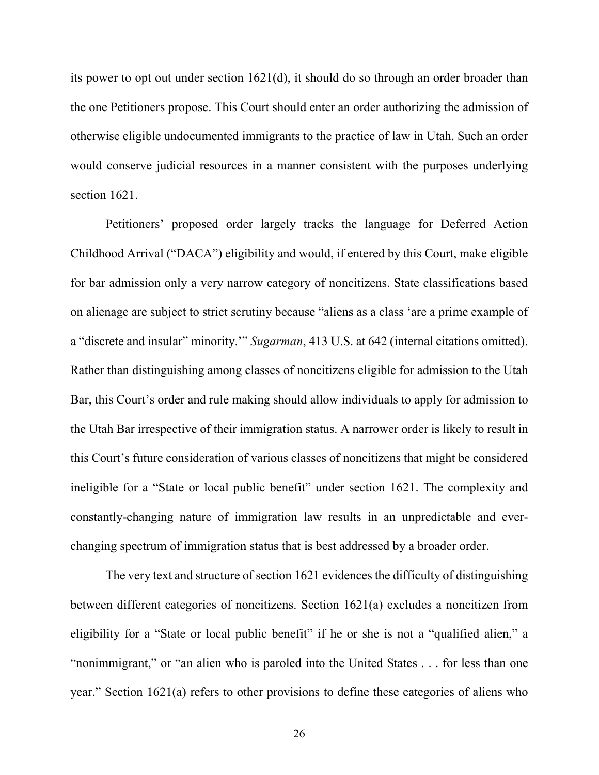its power to opt out under section 1621(d), it should do so through an order broader than the one Petitioners propose. This Court should enter an order authorizing the admission of otherwise eligible undocumented immigrants to the practice of law in Utah. Such an order would conserve judicial resources in a manner consistent with the purposes underlying section 1621.

Petitioners' proposed order largely tracks the language for Deferred Action Childhood Arrival ("DACA") eligibility and would, if entered by this Court, make eligible for bar admission only a very narrow category of noncitizens. State classifications based on alienage are subject to strict scrutiny because "aliens as a class 'are a prime example of a "discrete and insular" minority.'" *Sugarman*, 413 U.S. at 642 (internal citations omitted). Rather than distinguishing among classes of noncitizens eligible for admission to the Utah Bar, this Court's order and rule making should allow individuals to apply for admission to the Utah Bar irrespective of their immigration status. A narrower order is likely to result in this Court's future consideration of various classes of noncitizens that might be considered ineligible for a "State or local public benefit" under section 1621. The complexity and constantly-changing nature of immigration law results in an unpredictable and everchanging spectrum of immigration status that is best addressed by a broader order.

The very text and structure of section 1621 evidences the difficulty of distinguishing between different categories of noncitizens. Section 1621(a) excludes a noncitizen from eligibility for a "State or local public benefit" if he or she is not a "qualified alien," a "nonimmigrant," or "an alien who is paroled into the United States . . . for less than one year." Section 1621(a) refers to other provisions to define these categories of aliens who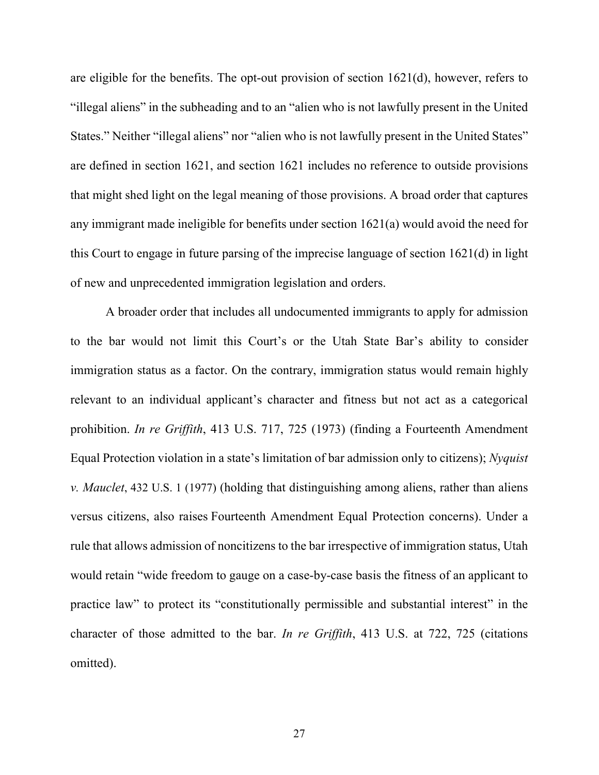are eligible for the benefits. The opt-out provision of section 1621(d), however, refers to "illegal aliens" in the subheading and to an "alien who is not lawfully present in the United States." Neither "illegal aliens" nor "alien who is not lawfully present in the United States" are defined in section 1621, and section 1621 includes no reference to outside provisions that might shed light on the legal meaning of those provisions. A broad order that captures any immigrant made ineligible for benefits under section 1621(a) would avoid the need for this Court to engage in future parsing of the imprecise language of section 1621(d) in light of new and unprecedented immigration legislation and orders.

A broader order that includes all undocumented immigrants to apply for admission to the bar would not limit this Court's or the Utah State Bar's ability to consider immigration status as a factor. On the contrary, immigration status would remain highly relevant to an individual applicant's character and fitness but not act as a categorical prohibition. *In re Griffith*, 413 U.S. 717, 725 (1973) (finding a Fourteenth Amendment Equal Protection violation in a state's limitation of bar admission only to citizens); *Nyquist v. Mauclet*, 432 U.S. 1 (1977) (holding that distinguishing among aliens, rather than aliens versus citizens, also raises Fourteenth Amendment Equal Protection concerns). Under a rule that allows admission of noncitizens to the bar irrespective of immigration status, Utah would retain "wide freedom to gauge on a case-by-case basis the fitness of an applicant to practice law" to protect its "constitutionally permissible and substantial interest" in the character of those admitted to the bar. *In re Griffith*, 413 U.S. at 722, 725 (citations omitted).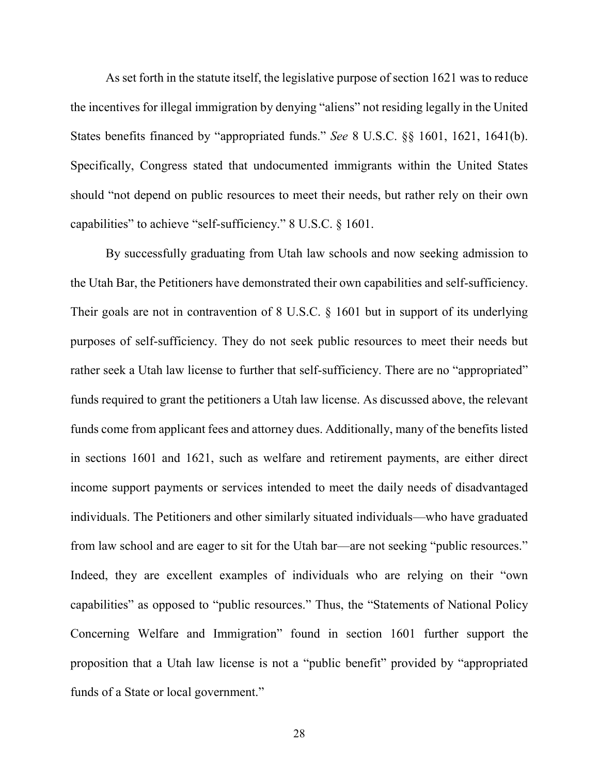As set forth in the statute itself, the legislative purpose of section 1621 was to reduce the incentives for illegal immigration by denying "aliens" not residing legally in the United States benefits financed by "appropriated funds." *See* 8 U.S.C. §§ 1601, 1621, 1641(b). Specifically, Congress stated that undocumented immigrants within the United States should "not depend on public resources to meet their needs, but rather rely on their own capabilities" to achieve "self-sufficiency." 8 U.S.C. § 1601.

By successfully graduating from Utah law schools and now seeking admission to the Utah Bar, the Petitioners have demonstrated their own capabilities and self-sufficiency. Their goals are not in contravention of 8 U.S.C. § 1601 but in support of its underlying purposes of self-sufficiency. They do not seek public resources to meet their needs but rather seek a Utah law license to further that self-sufficiency. There are no "appropriated" funds required to grant the petitioners a Utah law license. As discussed above, the relevant funds come from applicant fees and attorney dues. Additionally, many of the benefits listed in sections 1601 and 1621, such as welfare and retirement payments, are either direct income support payments or services intended to meet the daily needs of disadvantaged individuals. The Petitioners and other similarly situated individuals—who have graduated from law school and are eager to sit for the Utah bar—are not seeking "public resources." Indeed, they are excellent examples of individuals who are relying on their "own capabilities" as opposed to "public resources." Thus, the "Statements of National Policy Concerning Welfare and Immigration" found in section 1601 further support the proposition that a Utah law license is not a "public benefit" provided by "appropriated funds of a State or local government."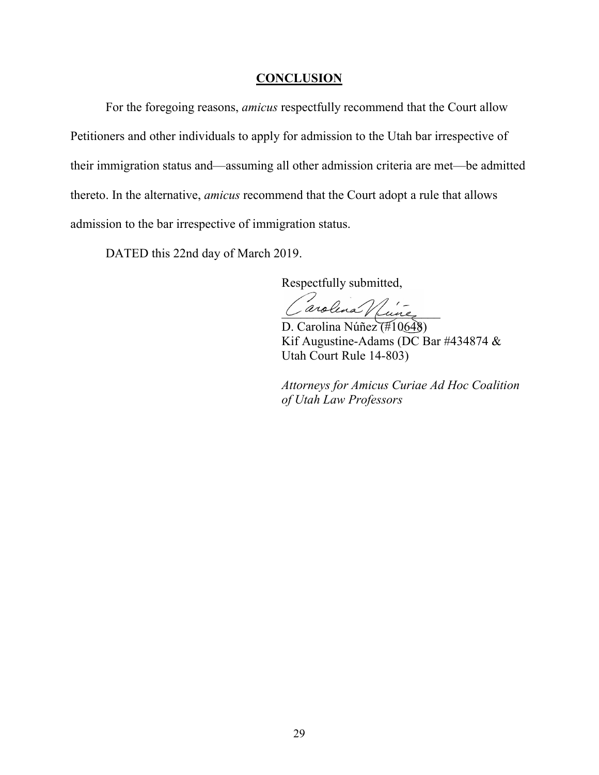#### **CONCLUSION**

<span id="page-35-0"></span>For the foregoing reasons, *amicus* respectfully recommend that the Court allow Petitioners and other individuals to apply for admission to the Utah bar irrespective of their immigration status and—assuming all other admission criteria are met—be admitted thereto. In the alternative, *amicus* recommend that the Court adopt a rule that allows admission to the bar irrespective of immigration status.

DATED this 22nd day of March 2019.

Respectfully submitted,

Carolina Vince

D. Carolina Núñez (#10648) Kif Augustine-Adams (DC Bar #434874 & Utah Court Rule 14-803)

*Attorneys for Amicus Curiae Ad Hoc Coalition of Utah Law Professors*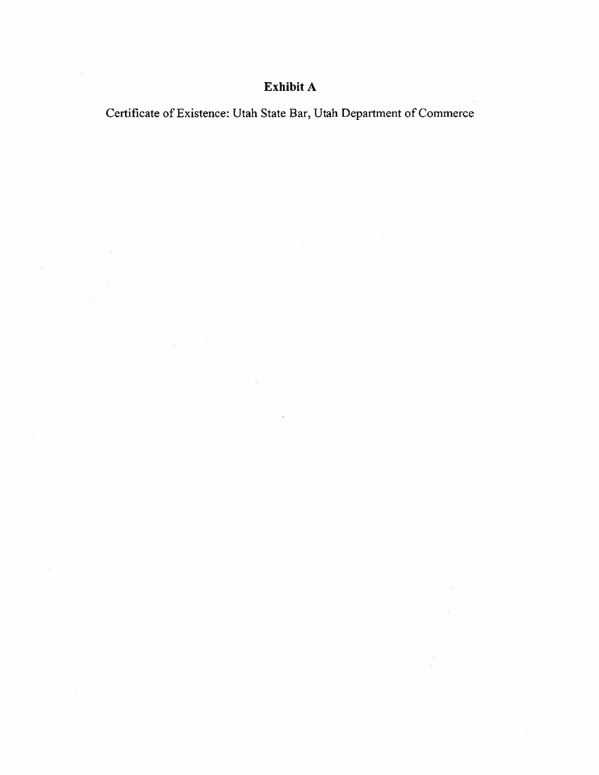# Exhibit A

Certificate of Existence: Utah State Bar, Utah Department of Commerce

×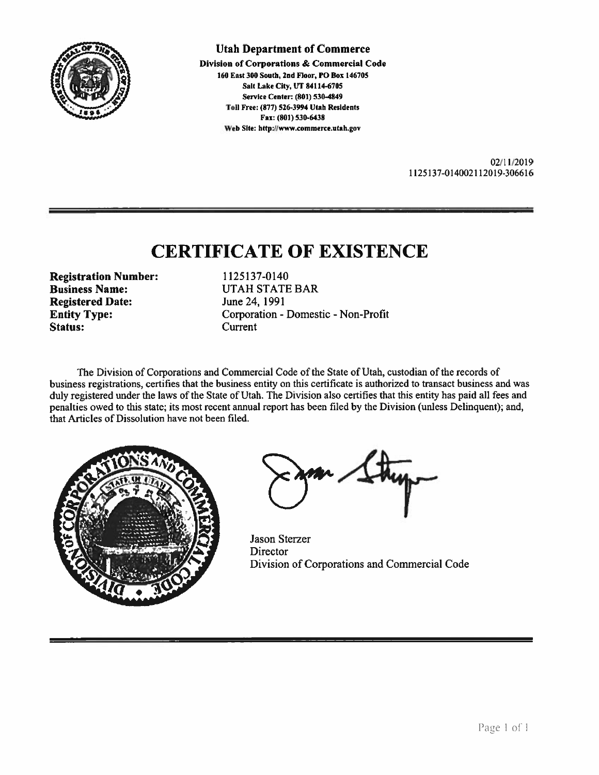

**Utah Department of Commerce** 

Division of Corporations & Commercial Code 160 East 300 South, 2nd Floor, PO Box 146705 Salt Lake City, UT 84114-6705 Service Center: (801) 530-4849 Toll Free: (877) 526-3994 Utah Residents Fax: (801) 530-6438 Web Site: http://www.commerce.utah.gov

> 02/11/2019 1125137-014002112019-306616

# **CERTIFICATE OF EXISTENCE**

**Registration Number: Business Name: Registered Date: Entity Type:** Status:

1125137-0140 **UTAH STATE BAR** June 24, 1991 Corporation - Domestic - Non-Profit Current

The Division of Corporations and Commercial Code of the State of Utah, custodian of the records of business registrations, certifies that the business entity on this certificate is authorized to transact business and was duly registered under the laws of the State of Utah. The Division also certifies that this entity has paid all fees and penalties owed to this state; its most recent annual report has been filed by the Division (unless Delinquent); and, that Articles of Dissolution have not been filed.



**Jason Sterzer** Director Division of Corporations and Commercial Code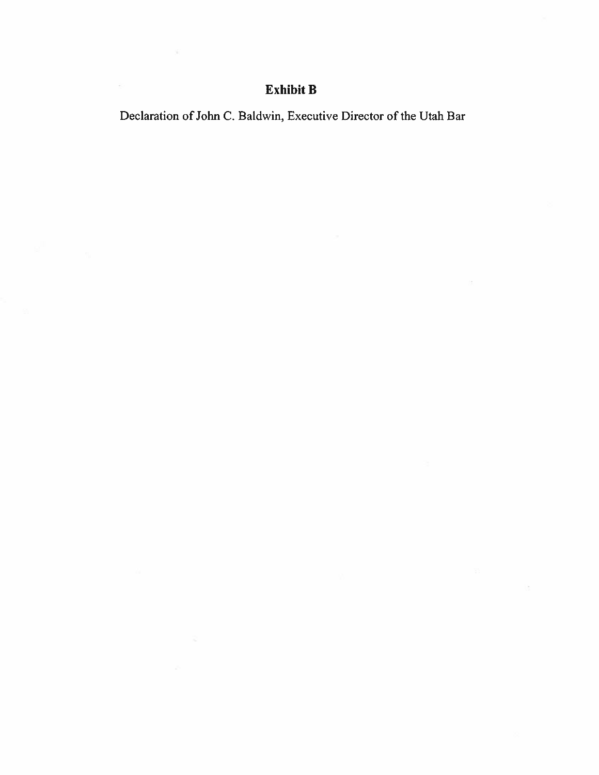## Exhibit B

 $\sim$ 

 $\overline{\Sigma}$ 

Declaration of John C. Baldwin, Executive Director of the Utah Bar

 $\overline{\mathcal{C}}$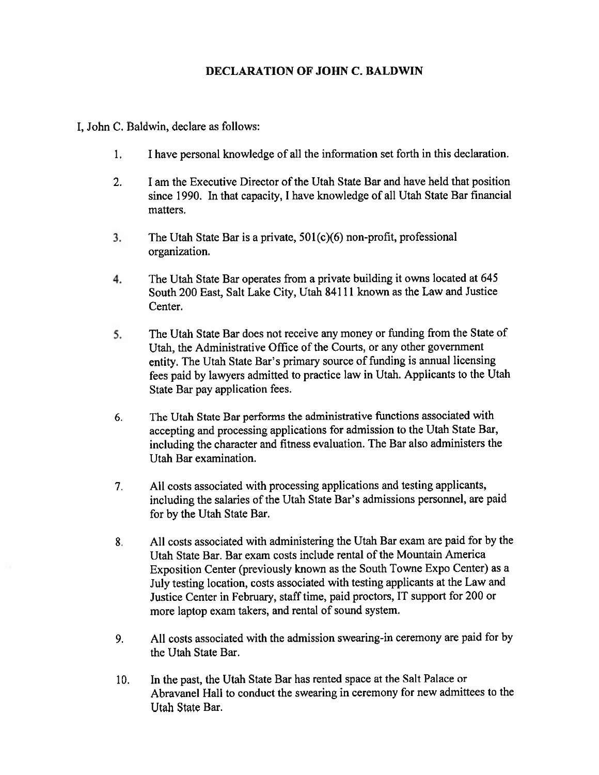#### **DECLARATION OF JOHN C. BALDWIN**

I, John C. Baldwin, declare as follows:

- $1.$ I have personal knowledge of all the information set forth in this declaration.
- $2.$ I am the Executive Director of the Utah State Bar and have held that position since 1990. In that capacity, I have knowledge of all Utah State Bar financial matters.
- $3.$ The Utah State Bar is a private,  $501(c)(6)$  non-profit, professional organization.
- 4. The Utah State Bar operates from a private building it owns located at 645 South 200 East, Salt Lake City, Utah 84111 known as the Law and Justice Center.
- 5. The Utah State Bar does not receive any money or funding from the State of Utah, the Administrative Office of the Courts, or any other government entity. The Utah State Bar's primary source of funding is annual licensing fees paid by lawyers admitted to practice law in Utah. Applicants to the Utah State Bar pay application fees.
- The Utah State Bar performs the administrative functions associated with 6. accepting and processing applications for admission to the Utah State Bar, including the character and fitness evaluation. The Bar also administers the Utah Bar examination.
- $7<sub>1</sub>$ All costs associated with processing applications and testing applicants, including the salaries of the Utah State Bar's admissions personnel, are paid for by the Utah State Bar.
- All costs associated with administering the Utah Bar exam are paid for by the 8. Utah State Bar, Bar exam costs include rental of the Mountain America Exposition Center (previously known as the South Towne Expo Center) as a July testing location, costs associated with testing applicants at the Law and Justice Center in February, staff time, paid proctors, IT support for 200 or more laptop exam takers, and rental of sound system.
- All costs associated with the admission swearing-in ceremony are paid for by 9. the Utah State Bar.
- In the past, the Utah State Bar has rented space at the Salt Palace or  $10<sub>1</sub>$ Abravanel Hall to conduct the swearing in ceremony for new admittees to the Utah State Bar.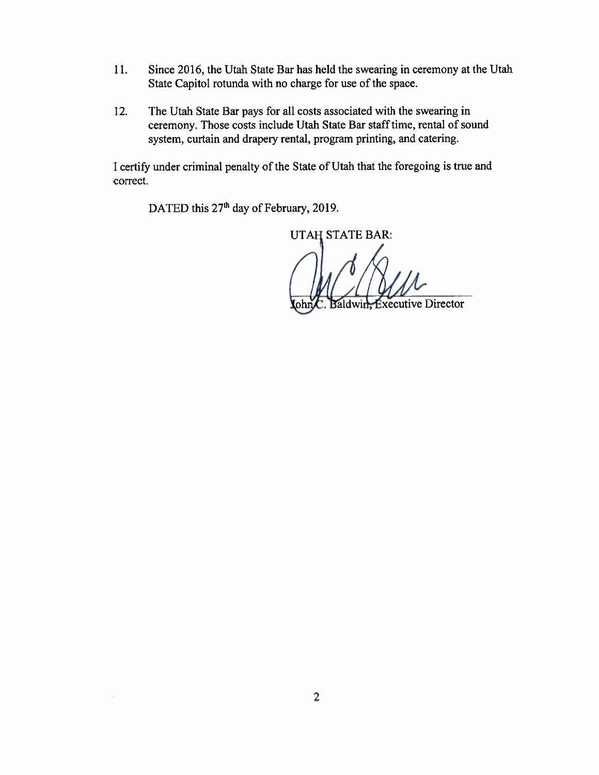- Since 2016, the Utah State Bar has held the swearing in ceremony at the Utah 11. State Capitol rotunda with no charge for use of the space.
- The Utah State Bar pays for all costs associated with the swearing in  $12.$ ceremony. Those costs include Utah State Bar staff time, rental of sound system, curtain and drapery rental, program printing, and catering.

I certify under criminal penalty of the State of Utah that the foregoing is true and correct.

DATED this 27<sup>th</sup> day of February, 2019.

**UTAH STATE BAR:** 

aldwin, Executive Director lohr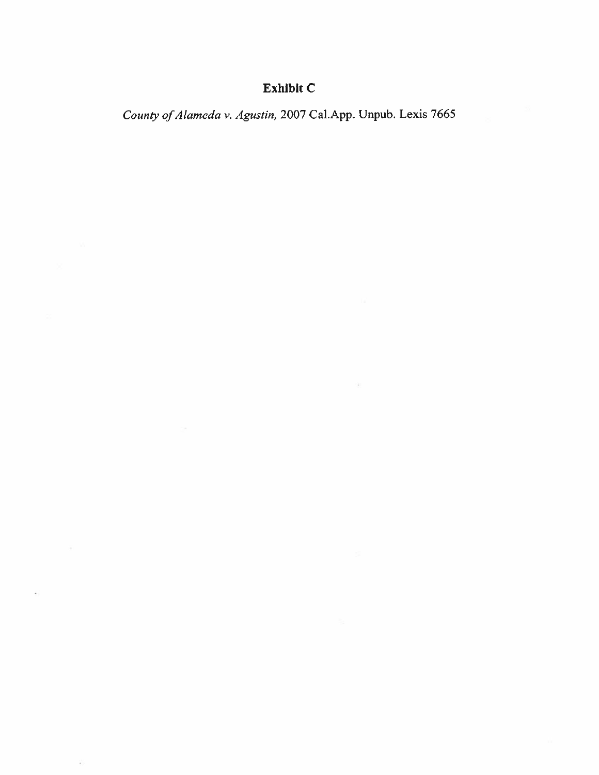# Exhibit C

County of Alameda v. Agustin, 2007 Cal.App. Unpub. Lexis 7665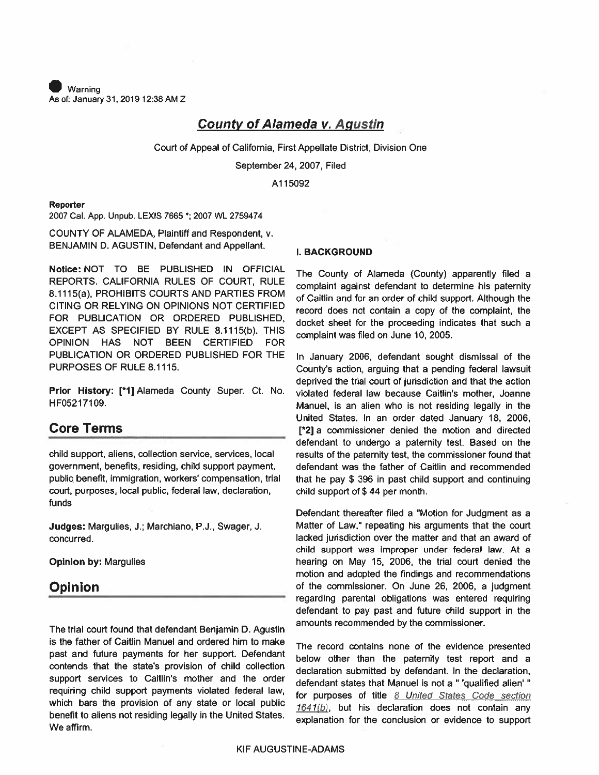Warning As of: January 31, 2019 12:38 AM Z

#### **County of Alameda v. Agustin**

Court of Appeal of California, First Appellate District, Division One

September 24, 2007, Filed

A115092

#### Reporter

2007 Cal. App. Unpub. LEXIS 7665 \*; 2007 WL 2759474

COUNTY OF ALAMEDA, Plaintiff and Respondent, v. BENJAMIN D. AGUSTIN, Defendant and Appellant.

Notice: NOT TO BE PUBLISHED IN OFFICIAL REPORTS, CALIFORNIA RULES OF COURT, RULE 8.1115(a), PROHIBITS COURTS AND PARTIES FROM CITING OR RELYING ON OPINIONS NOT CERTIFIED FOR PUBLICATION OR ORDERED PUBLISHED. EXCEPT AS SPECIFIED BY RULE 8.1115(b). THIS OPINION HAS NOT BEEN CERTIFIED FOR PUBLICATION OR ORDERED PUBLISHED FOR THE PURPOSES OF RULE 8.1115.

Prior History: [\*1] Alameda County Super. Ct. No. HF05217109.

#### **Core Terms**

child support, aliens, collection service, services, local government, benefits, residing, child support payment, public benefit, immigration, workers' compensation, trial court, purposes, local public, federal law, declaration, funds

Judges: Margulies, J.; Marchiano, P.J., Swager, J. concurred.

**Opinion by: Margulies** 

#### **Opinion**

The trial court found that defendant Benjamin D. Agustin is the father of Caitlin Manuel and ordered him to make past and future payments for her support. Defendant contends that the state's provision of child collection support services to Caitlin's mother and the order requiring child support payments violated federal law, which bars the provision of any state or local public benefit to aliens not residing legally in the United States. We affirm.

#### **I. BACKGROUND**

The County of Alameda (County) apparently filed a complaint against defendant to determine his paternity of Caitlin and for an order of child support. Although the record does not contain a copy of the complaint, the docket sheet for the proceeding indicates that such a complaint was filed on June 10, 2005.

In January 2006, defendant sought dismissal of the County's action, arguing that a pending federal lawsuit deprived the trial court of jurisdiction and that the action violated federal law because Caitlin's mother, Joanne Manuel, is an alien who is not residing legally in the United States. In an order dated January 18, 2006, [\*2] a commissioner denied the motion and directed defendant to undergo a paternity test. Based on the results of the paternity test, the commissioner found that defendant was the father of Caitlin and recommended that he pay \$ 396 in past child support and continuing child support of \$44 per month.

Defendant thereafter filed a "Motion for Judgment as a Matter of Law," repeating his arguments that the court lacked jurisdiction over the matter and that an award of child support was improper under federal law. At a hearing on May 15, 2006, the trial court denied the motion and adopted the findings and recommendations of the commissioner. On June 26, 2006, a judgment regarding parental obligations was entered requiring defendant to pay past and future child support in the amounts recommended by the commissioner.

The record contains none of the evidence presented below other than the paternity test report and a declaration submitted by defendant. In the declaration, defendant states that Manuel is not a " 'qualified alien' " for purposes of title 8 United States Code section 1641(b), but his declaration does not contain any explanation for the conclusion or evidence to support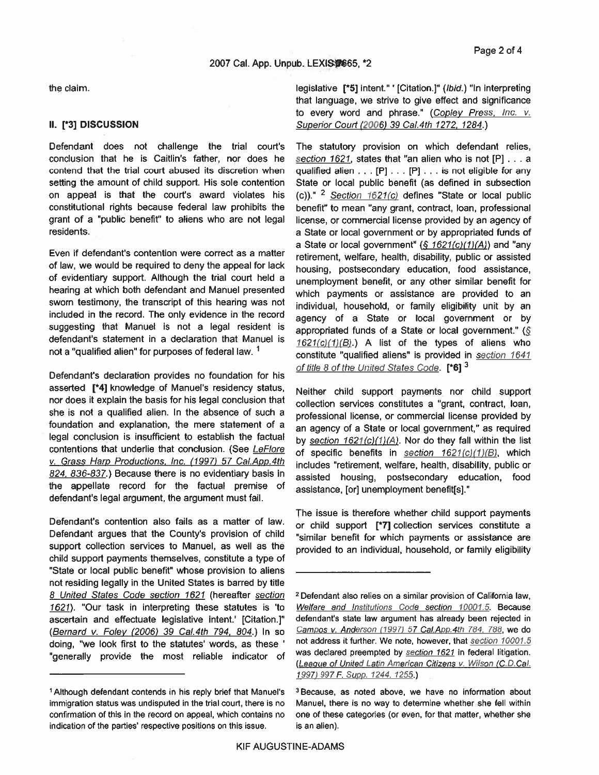the claim.

#### II. [\*3] DISCUSSION

Defendant does not challenge the trial court's conclusion that he is Caitlin's father, nor does he contend that the trial court abused its discretion when setting the amount of child support. His sole contention on appeal is that the court's award violates his constitutional rights because federal law prohibits the grant of a "public benefit" to aliens who are not legal residents.

Even if defendant's contention were correct as a matter of law, we would be required to deny the appeal for lack of evidentiary support. Although the trial court held a hearing at which both defendant and Manuel presented sworn testimony, the transcript of this hearing was not included in the record. The only evidence in the record suggesting that Manuel is not a legal resident is defendant's statement in a declaration that Manuel is not a "qualified alien" for purposes of federal law. <sup>1</sup>

Defendant's declaration provides no foundation for his asserted [\*4] knowledge of Manuel's residency status, nor does it explain the basis for his legal conclusion that she is not a qualified alien. In the absence of such a foundation and explanation, the mere statement of a legal conclusion is insufficient to establish the factual contentions that underlie that conclusion. (See LeFlore v. Grass Harp Productions, Inc. (1997) 57 Cal.App.4th 824, 836-837.) Because there is no evidentiary basis in the appellate record for the factual premise of defendant's legal argument, the argument must fail.

Defendant's contention also fails as a matter of law. Defendant argues that the County's provision of child support collection services to Manuel, as well as the child support payments themselves, constitute a type of "State or local public benefit" whose provision to aliens not residing legally in the United States is barred by title 8 United States Code section 1621 (hereafter section 1621). "Our task in interpreting these statutes is 'to ascertain and effectuate legislative intent.' [Citation.]" (Bernard v. Foley (2006) 39 Cal.4th 794, 804.) In so doing, "we look first to the statutes' words, as these ' "generally provide the most reliable indicator of legislative [\*5] intent." ' [Citation.]" (lbid.) "In interpreting that language, we strive to give effect and significance to every word and phrase." (Copley Press, Inc. v. Superior Court (2006) 39 Cal.4th 1272, 1284.)

The statutory provision on which defendant relies, section 1621, states that "an alien who is not [P] . . . a qualified alien  $\dots$  [P]  $\dots$  [P]  $\dots$  is not eligible for any State or local public benefit (as defined in subsection (c))." <sup>2</sup> Section  $1621(c)$  defines "State or local public benefit" to mean "any grant, contract, loan, professional license, or commercial license provided by an agency of a State or local government or by appropriated funds of a State or local government"  $(S 1621(c)(1)(A))$  and "any retirement, welfare, health, disability, public or assisted housing, postsecondary education, food assistance, unemployment benefit, or any other similar benefit for which payments or assistance are provided to an individual, household, or family eligibility unit by an agency of a State or local government or by appropriated funds of a State or local government." (§  $1621(c)(1)(B)$ .) A list of the types of aliens who constitute "qualified aliens" is provided in section 1641 of title 8 of the United States Code. [\*6] 3

Neither child support payments nor child support collection services constitutes a "grant, contract, loan, professional license, or commercial license provided by an agency of a State or local government," as required by section 1621(c)(1)(A). Nor do they fall within the list of specific benefits in section 1621(c)(1)(B), which includes "retirement, welfare, health, disability, public or assisted housing, postsecondary education, food assistance, [or] unemployment benefit[s]."

The issue is therefore whether child support payments or child support [\*7] collection services constitute a "similar benefit for which payments or assistance are provided to an individual, household, or family eligibility

<sup>&</sup>lt;sup>1</sup> Although defendant contends in his reply brief that Manuel's immigration status was undisputed in the trial court, there is no confirmation of this in the record on appeal, which contains no indication of the parties' respective positions on this issue.

<sup>&</sup>lt;sup>2</sup> Defendant also relies on a similar provision of California law, Welfare and Institutions Code section 10001.5. Because defendant's state law argument has already been rejected in Campos v. Anderson (1997) 57 Cal.App.4th 784, 788, we do not address it further. We note, however, that section 10001.5 was declared preempted by section 1621 in federal litigation. (League of United Latin American Citizens v. Wilson (C.D.Cal. 1997) 997 F. Supp. 1244, 1255.)

<sup>&</sup>lt;sup>3</sup> Because, as noted above, we have no information about Manuel, there is no way to determine whether she fell within one of these categories (or even, for that matter, whether she is an alien).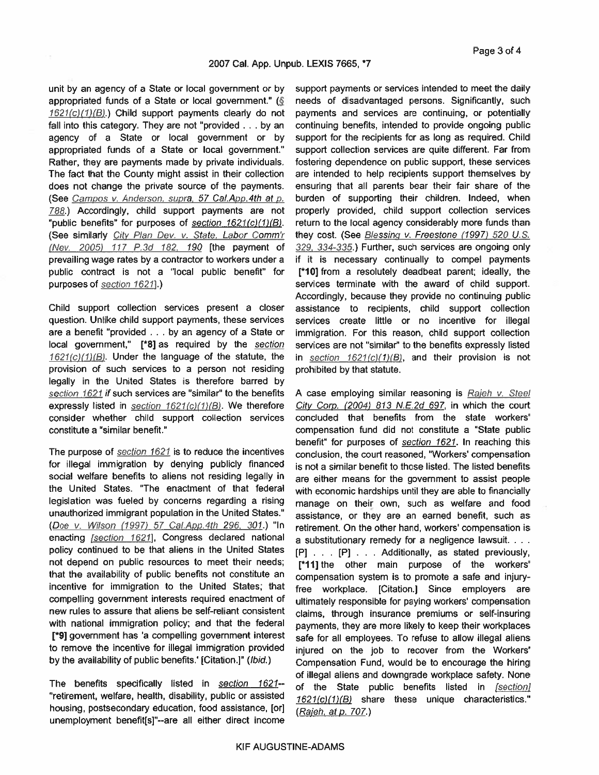unit by an agency of a State or local government or by appropriated funds of a State or local government." (§ 1621(c)(1)(B).) Child support payments clearly do not fall into this category. They are not "provided . . . by an agency of a State or local government or by appropriated funds of a State or local government." Rather, they are payments made by private individuals. The fact that the County might assist in their collection does not change the private source of the payments. (See Campos v. Anderson, supra, 57 Cal.App.4th at p. 788.) Accordingly, child support payments are not "public benefits" for purposes of section 1621(c)(1)(B). (See similarly City Plan Dev. v. State, Labor Comm'r (Nev. 2005) 117 P.3d 182, 190 [the payment of prevailing wage rates by a contractor to workers under a public contract is not a "local public benefit" for purposes of section 1621].)

Child support collection services present a closer question. Unlike child support payments, these services are a benefit "provided . . . by an agency of a State or local government," [\*8] as required by the section  $1621(c)/1/|B|$ . Under the language of the statute, the provision of such services to a person not residing legally in the United States is therefore barred by section 1621 if such services are "similar" to the benefits expressly listed in section 1621(c)(1)(B). We therefore consider whether child support collection services constitute a "similar benefit."

The purpose of section 1621 is to reduce the incentives for illegal immigration by denying publicly financed social welfare benefits to aliens not residing legally in the United States. "The enactment of that federal legislation was fueled by concerns regarding a rising unauthorized immigrant population in the United States." (Doe v. Wilson (1997) 57 Cal.App.4th 296, 301.) "In enacting [section 1621], Congress declared national policy continued to be that aliens in the United States not depend on public resources to meet their needs; that the availability of public benefits not constitute an incentive for immigration to the United States; that compelling government interests required enactment of new rules to assure that aliens be self-reliant consistent with national immigration policy; and that the federal [\*9] government has 'a compelling government interest to remove the incentive for illegal immigration provided by the availability of public benefits.' [Citation.]" (Ibid.)

The benefits specifically listed in section 1621--"retirement, welfare, health, disability, public or assisted housing, postsecondary education, food assistance, [or] unemployment benefit[s]"--are all either direct income support payments or services intended to meet the daily needs of disadvantaged persons. Significantly, such payments and services are continuing, or potentially continuing benefits, intended to provide ongoing public support for the recipients for as long as required. Child support collection services are quite different. Far from fostering dependence on public support, these services are intended to help recipients support themselves by ensuring that all parents bear their fair share of the burden of supporting their children. Indeed, when properly provided, child support collection services return to the local agency considerably more funds than they cost. (See Blessing v. Freestone (1997) 520 U.S. 329, 334-335.) Further, such services are ongoing only if it is necessary continually to compel payments [\*10] from a resolutely deadbeat parent; ideally, the services terminate with the award of child support. Accordingly, because they provide no continuing public assistance to recipients, child support collection services create little or no incentive for illegal immigration. For this reason, child support collection services are not "similar" to the benefits expressly listed in section  $1621(c)(1)(B)$ , and their provision is not prohibited by that statute.

A case employing similar reasoning is Rajeh v. Steel City Corp. (2004) 813 N.E.2d 697, in which the court concluded that benefits from the state workers' compensation fund did not constitute a "State public benefit" for purposes of section 1621. In reaching this conclusion, the court reasoned, "Workers' compensation is not a similar benefit to those listed. The listed benefits are either means for the government to assist people with economic hardships until they are able to financially manage on their own, such as welfare and food assistance, or they are an earned benefit, such as retirement. On the other hand, workers' compensation is a substitutionary remedy for a negligence lawsuit. . . . [P] . . . [P] . . . Additionally, as stated previously, [\*11] the other main purpose of the workers' compensation system is to promote a safe and injuryfree workplace. [Citation.] Since employers are ultimately responsible for paying workers' compensation claims, through insurance premiums or self-insuring payments, they are more likely to keep their workplaces safe for all employees. To refuse to allow illegal aliens injured on the job to recover from the Workers' Compensation Fund, would be to encourage the hiring of illegal aliens and downgrade workplace safety. None of the State public benefits listed in [section] 1621(c)(1)(B) share these unique characteristics." (Rajeh, at p. 707.)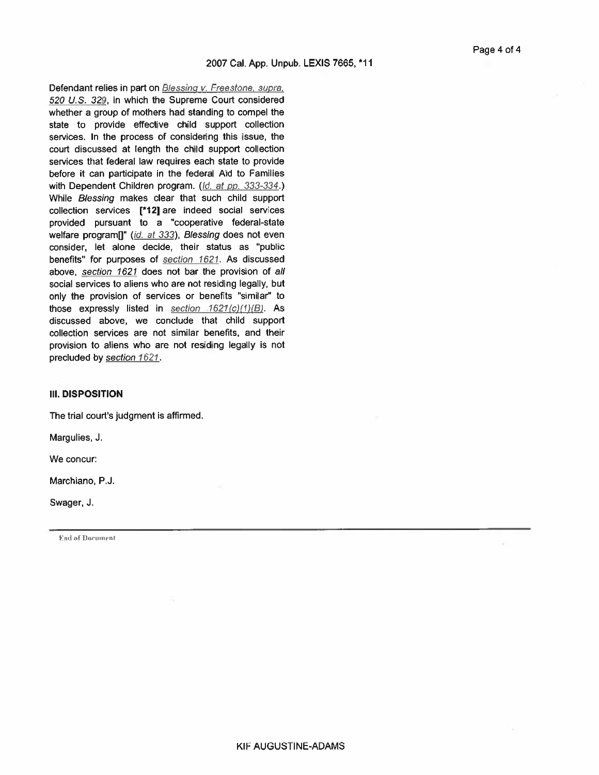Defendant relies in part on Blessing v. Freestone, supra, 520 U.S. 329, in which the Supreme Court considered whether a group of mothers had standing to compel the state to provide effective child support collection services. In the process of considering this issue, the court discussed at length the child support collection services that federal law requires each state to provide before it can participate in the federal Aid to Families with Dependent Children program. (Id. at pp. 333-334.) While Blessing makes clear that such child support collection services [\*12] are indeed social services provided pursuant to a "cooperative federal-state welfare program[]" (id. at 333), Blessing does not even consider, let alone decide, their status as "public benefits" for purposes of section 1621. As discussed above, section 1621 does not bar the provision of all social services to aliens who are not residing legally, but only the provision of services or benefits "similar" to those expressly listed in section  $1621(c)(1)(B)$ . As discussed above, we conclude that child support collection services are not similar benefits, and their provision to aliens who are not residing legally is not precluded by section 1621.

#### **III. DISPOSITION**

The trial court's judgment is affirmed.

Margulies, J.

We concur:

Marchiano, P.J.

Swager, J.

End of Document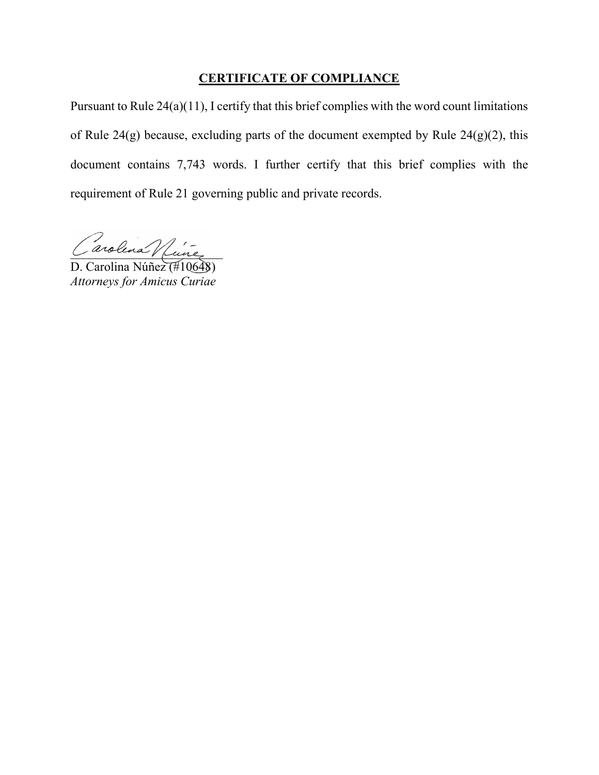### **CERTIFICATE OF COMPLIANCE**

Pursuant to Rule 24(a)(11), I certify that this brief complies with the word count limitations of Rule 24(g) because, excluding parts of the document exempted by Rule 24(g)(2), this document contains 7,743 words. I further certify that this brief complies with the requirement of Rule 21 governing public and private records.

 $U$ arolina / fune

D. Carolina Núñez (#10648) *Attorneys for Amicus Curiae*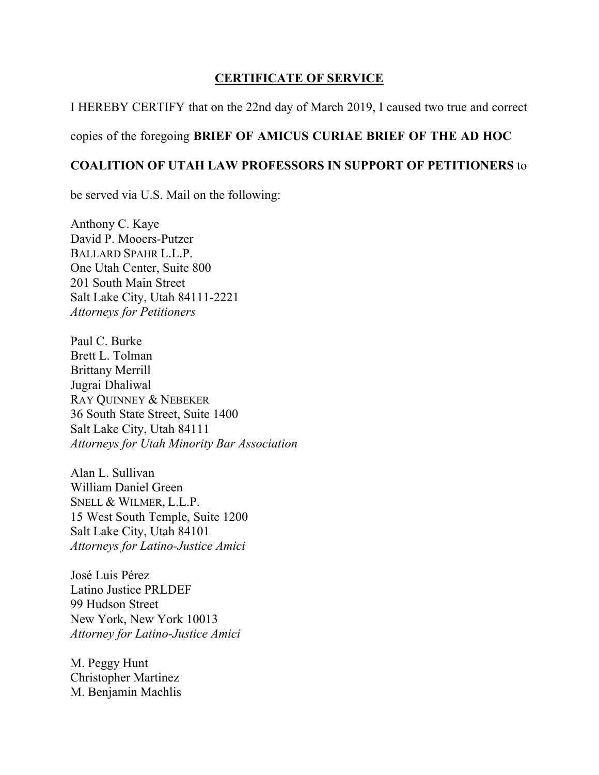### **CERTIFICATE OF SERVICE**

I HEREBY CERTIFY that on the 22nd day of March 2019, I caused two true and correct

### copies of the foregoing **BRIEF OF AMICUS CURIAE BRIEF OF THE AD HOC**

### **COALITION OF UTAH LAW PROFESSORS IN SUPPORT OF PETITIONERS** to

be served via U.S. Mail on the following:

Anthony C. Kaye David P. Mooers-Putzer BALLARD SPAHR L.L.P. One Utah Center, Suite 800 201 South Main Street Salt Lake City, Utah 84111-2221 *Attorneys for Petitioners* 

Paul C. Burke Brett L. Tolman Brittany Merrill Jugrai Dhaliwal RAY QUINNEY & NEBEKER 36 South State Street, Suite 1400 Salt Lake City, Utah 84111 *Attorneys for Utah Minority Bar Association* 

Alan L. Sullivan William Daniel Green SNELL & WILMER, L.L.P. 15 West South Temple, Suite 1200 Salt Lake City, Utah 84101 *Attorneys for Latino-Justice Amici* 

José Luis Pérez Latino Justice PRLDEF 99 Hudson Street New York, New York 10013 *Attorney for Latino-Justice Amici* 

M. Peggy Hunt Christopher Martinez M. Benjamin Machlis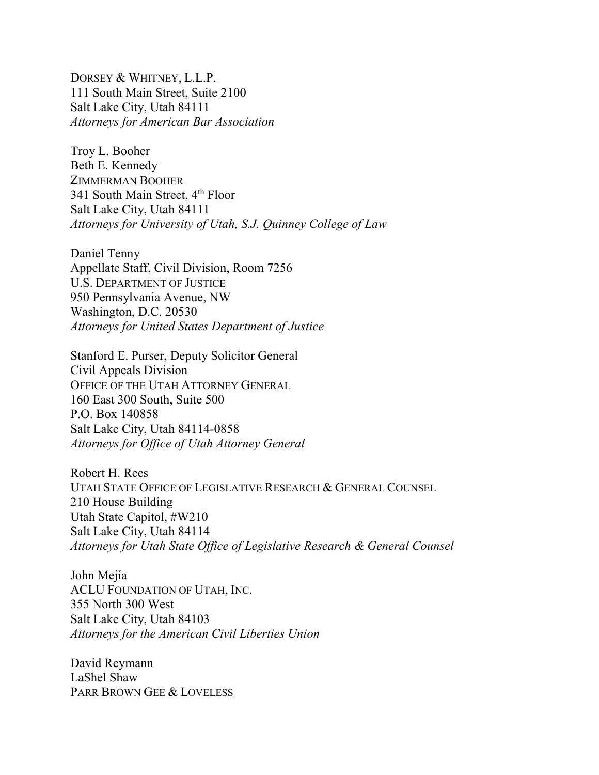DORSEY & WHITNEY, L.L.P. 111 South Main Street, Suite 2100 Salt Lake City, Utah 84111 *Attorneys for American Bar Association* 

Troy L. Booher Beth E. Kennedy ZIMMERMAN BOOHER 341 South Main Street, 4<sup>th</sup> Floor Salt Lake City, Utah 84111 *Attorneys for University of Utah, S.J. Quinney College of Law* 

Daniel Tenny Appellate Staff, Civil Division, Room 7256 U.S. DEPARTMENT OF JUSTICE 950 Pennsylvania Avenue, NW Washington, D.C. 20530 *Attorneys for United States Department of Justice* 

Stanford E. Purser, Deputy Solicitor General Civil Appeals Division OFFICE OF THE UTAH ATTORNEY GENERAL 160 East 300 South, Suite 500 P.O. Box 140858 Salt Lake City, Utah 84114-0858 *Attorneys for Office of Utah Attorney General* 

Robert H. Rees UTAH STATE OFFICE OF LEGISLATIVE RESEARCH & GENERAL COUNSEL 210 House Building Utah State Capitol, #W210 Salt Lake City, Utah 84114 *Attorneys for Utah State Office of Legislative Research & General Counsel* 

John Mejía ACLU FOUNDATION OF UTAH, INC. 355 North 300 West Salt Lake City, Utah 84103 *Attorneys for the American Civil Liberties Union* 

David Reymann LaShel Shaw PARR BROWN GEE & LOVELESS